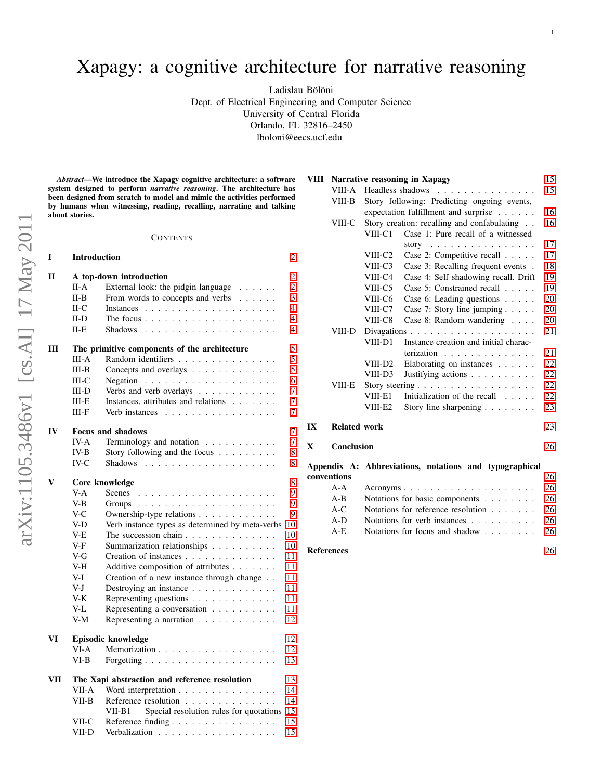arXiv:1105.3486v1 [cs.AI] 17 May 2011 arXiv:1105.3486v1 [cs.AI] 17 May 2011 Ladislau Bölöni

Dept. of Electrical Engineering and Computer Science

University of Central Florida

Orlando, FL 32816–2450

lboloni@eecs.ucf.edu

*Abstract*—We introduce the Xapagy cognitive architecture: a software system designed to perform *narrative reasoning*. The architecture has been designed from scratch to model and mimic the activities performed by humans when witnessing, reading, recalling, narrating and talking about stories.

#### **CONTENTS**

| I   | <b>Introduction</b>                           |                                                      |                |  |  |  |
|-----|-----------------------------------------------|------------------------------------------------------|----------------|--|--|--|
| П   |                                               | A top-down introduction                              | $\overline{c}$ |  |  |  |
|     | II-A                                          | External look: the pidgin language                   | $\overline{2}$ |  |  |  |
|     | $II-B$                                        | From words to concepts and verbs                     | 3              |  |  |  |
|     | $II-C$                                        |                                                      | $\overline{4}$ |  |  |  |
|     | $II-D$                                        |                                                      | $\overline{4}$ |  |  |  |
|     | $II-E$                                        | <b>Shadows</b>                                       | 4              |  |  |  |
| Ш   | The primitive components of the architecture  |                                                      |                |  |  |  |
|     | <b>III-A</b>                                  | Random identifiers                                   | 5              |  |  |  |
|     | III-B                                         | Concepts and overlays                                | 5              |  |  |  |
|     | $III-C$                                       | Negation $\ldots \ldots \ldots \ldots \ldots \ldots$ | 6              |  |  |  |
|     | $III-D$                                       | Verbs and verb overlays                              | 7              |  |  |  |
|     | III-E                                         | Instances, attributes and relations                  | 7              |  |  |  |
|     | $III-F$                                       | Verb instances                                       | $\overline{7}$ |  |  |  |
| IV  | <b>Focus and shadows</b>                      |                                                      |                |  |  |  |
|     | IV-A                                          | Terminology and notation $\ldots$ ,                  | 7              |  |  |  |
|     | $IV-B$                                        | Story following and the focus                        | 8              |  |  |  |
|     | $IV-C$                                        | <b>Shadows</b>                                       | 8              |  |  |  |
| V   | 8<br>Core knowledge                           |                                                      |                |  |  |  |
|     | V-A                                           | Scenes                                               | 9              |  |  |  |
|     | $V-B$                                         |                                                      | 9              |  |  |  |
|     | $V-C$                                         | Ownership-type relations                             | 9              |  |  |  |
|     | V-D                                           | Verb instance types as determined by meta-verbs      | 10             |  |  |  |
|     | V-E                                           | The succession chain                                 | 10             |  |  |  |
|     | V-F                                           | Summarization relationships                          | 10             |  |  |  |
|     | V-G                                           | Creation of instances                                | 11             |  |  |  |
|     | V-H                                           | Additive composition of attributes                   | 11             |  |  |  |
|     | V-I                                           | Creation of a new instance through change            | 11             |  |  |  |
|     | V-J                                           | Destroying an instance                               | 11             |  |  |  |
|     | V-K                                           | Representing questions                               | 11             |  |  |  |
|     | V-L                                           | Representing a conversation                          | 11             |  |  |  |
|     | $V-M$                                         | Representing a narration                             | 12             |  |  |  |
|     |                                               |                                                      |                |  |  |  |
| VI  |                                               | Episodic knowledge                                   | 12             |  |  |  |
|     | VI-A                                          | Memorization                                         | 12             |  |  |  |
|     | VI-B                                          |                                                      | 13             |  |  |  |
| VII | The Xapi abstraction and reference resolution |                                                      |                |  |  |  |
|     | VII-A                                         | Word interpretation                                  | 14             |  |  |  |
|     | $VII-B$                                       | Reference resolution                                 | 14             |  |  |  |
|     |                                               | Special resolution rules for quotations<br>VII-B1    | 15             |  |  |  |
|     | VII-C                                         | Reference finding                                    | 15             |  |  |  |
|     | VII-D                                         |                                                      | 15             |  |  |  |

|    |                     |                     | VIII Narrative reasoning in Xapagy             | 15 |
|----|---------------------|---------------------|------------------------------------------------|----|
|    | VIII-A              |                     | Headless shadows                               | 15 |
|    | VIII-B              |                     | Story following: Predicting ongoing events,    |    |
|    |                     |                     | expectation fulfillment and surprise $\dots$ . | 16 |
|    | VIII-C              |                     | Story creation: recalling and confabulating    | 16 |
|    |                     | VIII-C1             | Case 1: Pure recall of a witnessed             |    |
|    |                     |                     | story $\dots \dots \dots \dots \dots \dots$    | 17 |
|    |                     | VIII-C <sub>2</sub> | Case 2: Competitive recall                     | 17 |
|    |                     | VIII-C3             | Case 3: Recalling frequent events.             | 18 |
|    |                     | VIII-C4             | Case 4: Self shadowing recall. Drift           | 19 |
|    |                     | VIII-C5             | Case 5: Constrained recall                     | 19 |
|    |                     | VIII-C6             | Case 6: Leading questions                      | 20 |
|    |                     | VIII-C7             | Case 7: Story line jumping $\ldots$ .          | 20 |
|    |                     | VIII-C8             | Case 8: Random wandering                       | 20 |
|    | VIII-D              |                     |                                                | 21 |
|    |                     | VIII-D1             | Instance creation and initial charac-          |    |
|    |                     |                     | terization $\ldots \ldots \ldots \ldots$       | 21 |
|    |                     | VIII-D <sub>2</sub> | Elaborating on instances $\ldots$ .            | 22 |
|    |                     | VIII-D3             | Justifying actions                             | 22 |
|    | VIII-E              |                     |                                                | 22 |
|    |                     | VIII-E1             | Initialization of the recall                   | 22 |
|    |                     | VIII-E2             | Story line sharpening $\ldots \ldots$          | 23 |
| IX | <b>Related work</b> |                     |                                                | 23 |

# X Conclusion

|  |  | 26 |
|--|--|----|
|  |  |    |

# Appendix A: Abbreviations, notations and typographical conventions [26](#page-25-1) A-A Acronyms . . . . . . . . . . . . . . . . . . . . [26](#page-25-2) A-B Notations for basic components . . . . . . . [26](#page-25-3) A-C Notations for reference resolution . . . . . . . [26](#page-25-4) A-D Notations for verb instances . . . . . . . . . [26](#page-25-5) A-E Notations for focus and shadow . . . . . . . [26](#page-25-6) References [26](#page-25-7)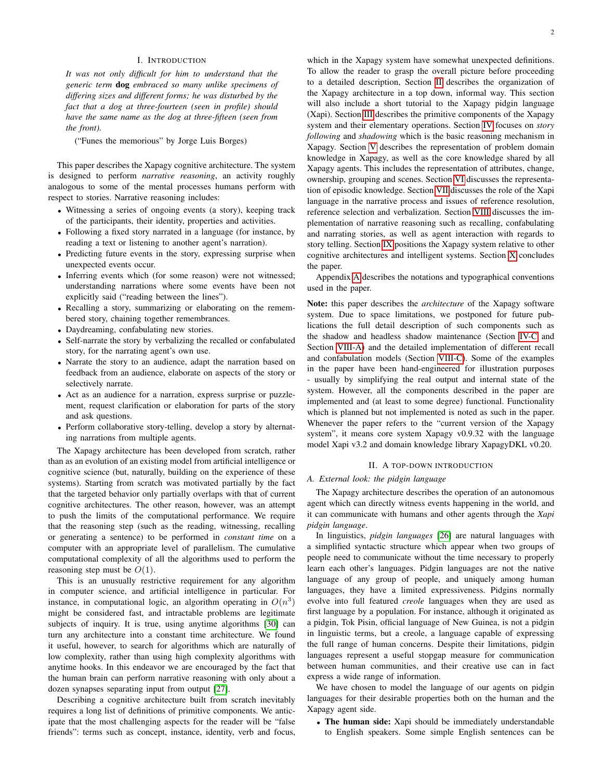## I. INTRODUCTION

<span id="page-1-0"></span>*It was not only difficult for him to understand that the generic term* dog *embraced so many unlike specimens of differing sizes and different forms; he was disturbed by the fact that a dog at three-fourteen (seen in profile) should have the same name as the dog at three-fifteen (seen from the front).*

("Funes the memorious" by Jorge Luis Borges)

This paper describes the Xapagy cognitive architecture. The system is designed to perform *narrative reasoning*, an activity roughly analogous to some of the mental processes humans perform with respect to stories. Narrative reasoning includes:

- Witnessing a series of ongoing events (a story), keeping track of the participants, their identity, properties and activities.
- Following a fixed story narrated in a language (for instance, by reading a text or listening to another agent's narration).
- Predicting future events in the story, expressing surprise when unexpected events occur.
- Inferring events which (for some reason) were not witnessed; understanding narrations where some events have been not explicitly said ("reading between the lines").
- Recalling a story, summarizing or elaborating on the remembered story, chaining together remembrances.
- Daydreaming, confabulating new stories.
- Self-narrate the story by verbalizing the recalled or confabulated story, for the narrating agent's own use.
- Narrate the story to an audience, adapt the narration based on feedback from an audience, elaborate on aspects of the story or selectively narrate.
- Act as an audience for a narration, express surprise or puzzlement, request clarification or elaboration for parts of the story and ask questions.
- Perform collaborative story-telling, develop a story by alternating narrations from multiple agents.

The Xapagy architecture has been developed from scratch, rather than as an evolution of an existing model from artificial intelligence or cognitive science (but, naturally, building on the experience of these systems). Starting from scratch was motivated partially by the fact that the targeted behavior only partially overlaps with that of current cognitive architectures. The other reason, however, was an attempt to push the limits of the computational performance. We require that the reasoning step (such as the reading, witnessing, recalling or generating a sentence) to be performed in *constant time* on a computer with an appropriate level of parallelism. The cumulative computational complexity of all the algorithms used to perform the reasoning step must be  $O(1)$ .

This is an unusually restrictive requirement for any algorithm in computer science, and artificial intelligence in particular. For instance, in computational logic, an algorithm operating in  $O(n^3)$ might be considered fast, and intractable problems are legitimate subjects of inquiry. It is true, using anytime algorithms [\[30\]](#page-26-0) can turn any architecture into a constant time architecture. We found it useful, however, to search for algorithms which are naturally of low complexity, rather than using high complexity algorithms with anytime hooks. In this endeavor we are encouraged by the fact that the human brain can perform narrative reasoning with only about a dozen synapses separating input from output [\[27\]](#page-26-1).

Describing a cognitive architecture built from scratch inevitably requires a long list of definitions of primitive components. We anticipate that the most challenging aspects for the reader will be "false friends": terms such as concept, instance, identity, verb and focus,

which in the Xapagy system have somewhat unexpected definitions. To allow the reader to grasp the overall picture before proceeding to a detailed description, Section [II](#page-1-1) describes the organization of the Xapagy architecture in a top down, informal way. This section will also include a short tutorial to the Xapagy pidgin language (Xapi). Section [III](#page-4-0) describes the primitive components of the Xapagy system and their elementary operations. Section [IV](#page-6-3) focuses on *story following* and *shadowing* which is the basic reasoning mechanism in Xapagy. Section [V](#page-7-2) describes the representation of problem domain knowledge in Xapagy, as well as the core knowledge shared by all Xapagy agents. This includes the representation of attributes, change, ownership, grouping and scenes. Section [VI](#page-11-1) discusses the representation of episodic knowledge. Section [VII](#page-12-1) discusses the role of the Xapi language in the narrative process and issues of reference resolution, reference selection and verbalization. Section [VIII](#page-14-3) discusses the implementation of narrative reasoning such as recalling, confabulating and narrating stories, as well as agent interaction with regards to story telling. Section [IX](#page-22-1) positions the Xapagy system relative to other cognitive architectures and intelligent systems. Section [X](#page-25-0) concludes the paper.

Appendix [A](#page-25-1) describes the notations and typographical conventions used in the paper.

Note: this paper describes the *architecture* of the Xapagy software system. Due to space limitations, we postponed for future publications the full detail description of such components such as the shadow and headless shadow maintenance (Section [IV-C](#page-7-1) and Section [VIII-A\)](#page-14-4) and the detailed implementation of different recall and confabulation models (Section [VIII-C\)](#page-15-1). Some of the examples in the paper have been hand-engineered for illustration purposes - usually by simplifying the real output and internal state of the system. However, all the components described in the paper are implemented and (at least to some degree) functional. Functionality which is planned but not implemented is noted as such in the paper. Whenever the paper refers to the "current version of the Xapagy system", it means core system Xapagy v0.9.32 with the language model Xapi v3.2 and domain knowledge library XapagyDKL v0.20.

## II. A TOP-DOWN INTRODUCTION

## <span id="page-1-2"></span><span id="page-1-1"></span>*A. External look: the pidgin language*

The Xapagy architecture describes the operation of an autonomous agent which can directly witness events happening in the world, and it can communicate with humans and other agents through the *Xapi pidgin language*.

In linguistics, *pidgin languages* [\[26\]](#page-26-2) are natural languages with a simplified syntactic structure which appear when two groups of people need to communicate without the time necessary to properly learn each other's languages. Pidgin languages are not the native language of any group of people, and uniquely among human languages, they have a limited expressiveness. Pidgins normally evolve into full featured *creole* languages when they are used as first language by a population. For instance, although it originated as a pidgin, Tok Pisin, official language of New Guinea, is not a pidgin in linguistic terms, but a creole, a language capable of expressing the full range of human concerns. Despite their limitations, pidgin languages represent a useful stopgap measure for communication between human communities, and their creative use can in fact express a wide range of information.

We have chosen to model the language of our agents on pidgin languages for their desirable properties both on the human and the Xapagy agent side.

• The human side: Xapi should be immediately understandable to English speakers. Some simple English sentences can be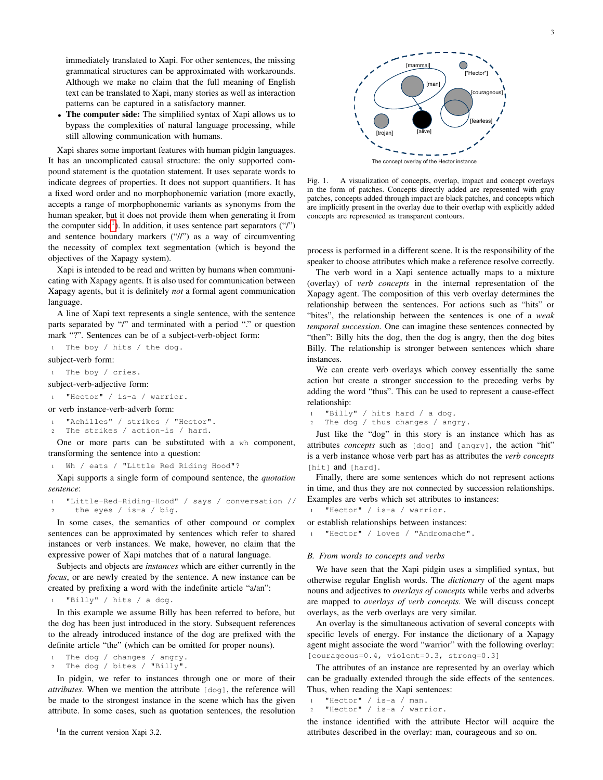immediately translated to Xapi. For other sentences, the missing grammatical structures can be approximated with workarounds. Although we make no claim that the full meaning of English text can be translated to Xapi, many stories as well as interaction patterns can be captured in a satisfactory manner.

• The computer side: The simplified syntax of Xapi allows us to bypass the complexities of natural language processing, while still allowing communication with humans.

Xapi shares some important features with human pidgin languages. It has an uncomplicated causal structure: the only supported compound statement is the quotation statement. It uses separate words to indicate degrees of properties. It does not support quantifiers. It has a fixed word order and no morphophonemic variation (more exactly, accepts a range of morphophonemic variants as synonyms from the human speaker, but it does not provide them when generating it from the computer side<sup>[1](#page-2-1)</sup>). In addition, it uses sentence part separators  $("")$ and sentence boundary markers ("//") as a way of circumventing the necessity of complex text segmentation (which is beyond the objectives of the Xapagy system).

Xapi is intended to be read and written by humans when communicating with Xapagy agents. It is also used for communication between Xapagy agents, but it is definitely *not* a formal agent communication language.

A line of Xapi text represents a single sentence, with the sentence parts separated by "/" and terminated with a period "." or question mark "?". Sentences can be of a subject-verb-object form:

The boy / hits / the dog.

subject-verb form:

<sup>1</sup> The boy / cries.

- subject-verb-adjective form:
- <sup>1</sup> "Hector" / is-a / warrior.

or verb instance-verb-adverb form:

"Achilles" / strikes / "Hector".

The strikes / action-is / hard.

One or more parts can be substituted with a wh component, transforming the sentence into a question:

Wh / eats / "Little Red Riding Hood"?

Xapi supports a single form of compound sentence, the *quotation sentence*:

<sup>1</sup> "Little-Red-Riding-Hood" / says / conversation // <sup>2</sup> the eyes / is-a / big.

In some cases, the semantics of other compound or complex sentences can be approximated by sentences which refer to shared instances or verb instances. We make, however, no claim that the expressive power of Xapi matches that of a natural language.

Subjects and objects are *instances* which are either currently in the *focus*, or are newly created by the sentence. A new instance can be created by prefixing a word with the indefinite article "a/an":

"Billy" / hits / a dog.

In this example we assume Billy has been referred to before, but the dog has been just introduced in the story. Subsequent references to the already introduced instance of the dog are prefixed with the definite article "the" (which can be omitted for proper nouns).

```
The dog / changes / angry.
2 The dog / bites / "Billy".
```
<span id="page-2-1"></span>In pidgin, we refer to instances through one or more of their *attributes*. When we mention the attribute [dog], the reference will be made to the strongest instance in the scene which has the given attribute. In some cases, such as quotation sentences, the resolution



<span id="page-2-2"></span>Fig. 1. A visualization of concepts, overlap, impact and concept overlays in the form of patches. Concepts directly added are represented with gray patches, concepts added through impact are black patches, and concepts which are implicitly present in the overlay due to their overlap with explicitly added concepts are represented as transparent contours.

process is performed in a different scene. It is the responsibility of the speaker to choose attributes which make a reference resolve correctly.

The verb word in a Xapi sentence actually maps to a mixture (overlay) of *verb concepts* in the internal representation of the Xapagy agent. The composition of this verb overlay determines the relationship between the sentences. For actions such as "hits" or "bites", the relationship between the sentences is one of a *weak temporal succession*. One can imagine these sentences connected by "then": Billy hits the dog, then the dog is angry, then the dog bites Billy. The relationship is stronger between sentences which share instances.

We can create verb overlays which convey essentially the same action but create a stronger succession to the preceding verbs by adding the word "thus". This can be used to represent a cause-effect relationship:

```
"Billy" / hits hard / a dog.
2 The dog / thus changes / angry.
```
Just like the "dog" in this story is an instance which has as attributes *concepts* such as [dog] and [angry], the action "hit" is a verb instance whose verb part has as attributes the *verb concepts* [hit] and [hard].

Finally, there are some sentences which do not represent actions in time, and thus they are not connected by succession relationships. Examples are verbs which set attributes to instances:

"Hector" / is-a / warrior.

or establish relationships between instances:

<sup>1</sup> "Hector" / loves / "Andromache".

#### <span id="page-2-0"></span>*B. From words to concepts and verbs*

We have seen that the Xapi pidgin uses a simplified syntax, but otherwise regular English words. The *dictionary* of the agent maps nouns and adjectives to *overlays of concepts* while verbs and adverbs are mapped to *overlays of verb concepts*. We will discuss concept overlays, as the verb overlays are very similar.

An overlay is the simultaneous activation of several concepts with specific levels of energy. For instance the dictionary of a Xapagy agent might associate the word "warrior" with the following overlay: [courageous=0.4, violent=0.3, strong=0.3]

The attributes of an instance are represented by an overlay which can be gradually extended through the side effects of the sentences. Thus, when reading the Xapi sentences:

```
"Hector" / is-a / man.
"Hector" / is-a / warrior.
```
the instance identified with the attribute Hector will acquire the attributes described in the overlay: man, courageous and so on.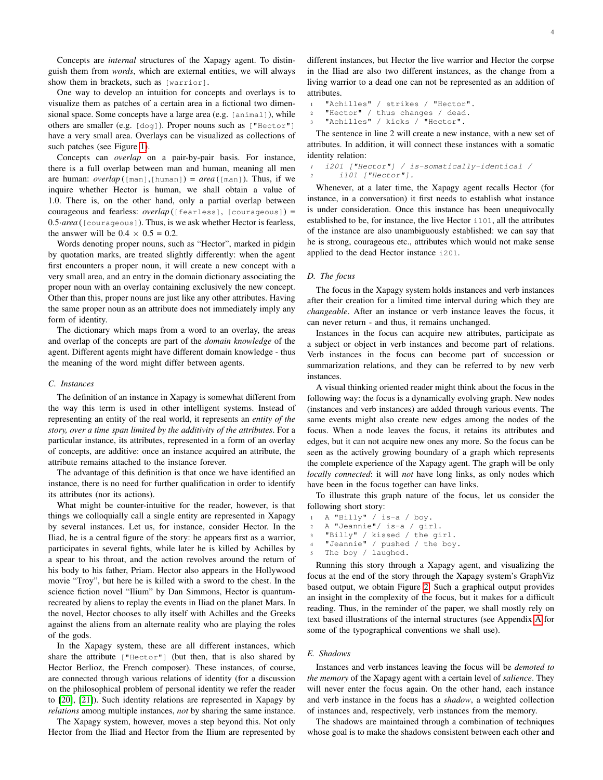Concepts are *internal* structures of the Xapagy agent. To distinguish them from *words*, which are external entities, we will always show them in brackets, such as [warrior].

One way to develop an intuition for concepts and overlays is to visualize them as patches of a certain area in a fictional two dimensional space. Some concepts have a large area (e.g. [animal]), while others are smaller (e.g. [dog]). Proper nouns such as ["Hector"] have a very small area. Overlays can be visualized as collections of such patches (see Figure [1\)](#page-2-2).

Concepts can *overlap* on a pair-by-pair basis. For instance, there is a full overlap between man and human, meaning all men are human: *overlap* ( $[\text{man}], [\text{human}]$ ) =  $\text{area}([\text{man}]).$  Thus, if we inquire whether Hector is human, we shall obtain a value of 1.0. There is, on the other hand, only a partial overlap between courageous and fearless: *overlap* ([fearless], [courageous]) = 0.5·*area* ([courageous]). Thus, is we ask whether Hector is fearless, the answer will be  $0.4 \times 0.5 = 0.2$ .

Words denoting proper nouns, such as "Hector", marked in pidgin by quotation marks, are treated slightly differently: when the agent first encounters a proper noun, it will create a new concept with a very small area, and an entry in the domain dictionary associating the proper noun with an overlay containing exclusively the new concept. Other than this, proper nouns are just like any other attributes. Having the same proper noun as an attribute does not immediately imply any form of identity.

The dictionary which maps from a word to an overlay, the areas and overlap of the concepts are part of the *domain knowledge* of the agent. Different agents might have different domain knowledge - thus the meaning of the word might differ between agents.

## <span id="page-3-0"></span>*C. Instances*

The definition of an instance in Xapagy is somewhat different from the way this term is used in other intelligent systems. Instead of representing an entity of the real world, it represents an *entity of the story, over a time span limited by the additivity of the attributes*. For a particular instance, its attributes, represented in a form of an overlay of concepts, are additive: once an instance acquired an attribute, the attribute remains attached to the instance forever.

The advantage of this definition is that once we have identified an instance, there is no need for further qualification in order to identify its attributes (nor its actions).

What might be counter-intuitive for the reader, however, is that things we colloquially call a single entity are represented in Xapagy by several instances. Let us, for instance, consider Hector. In the Iliad, he is a central figure of the story: he appears first as a warrior, participates in several fights, while later he is killed by Achilles by a spear to his throat, and the action revolves around the return of his body to his father, Priam. Hector also appears in the Hollywood movie "Troy", but here he is killed with a sword to the chest. In the science fiction novel "Ilium" by Dan Simmons, Hector is quantumrecreated by aliens to replay the events in Iliad on the planet Mars. In the novel, Hector chooses to ally itself with Achilles and the Greeks against the aliens from an alternate reality who are playing the roles of the gods.

In the Xapagy system, these are all different instances, which share the attribute  $["Hector"]$  (but then, that is also shared by Hector Berlioz, the French composer). These instances, of course, are connected through various relations of identity (for a discussion on the philosophical problem of personal identity we refer the reader to [\[20\]](#page-26-3), [\[21\]](#page-26-4)). Such identity relations are represented in Xapagy by *relations* among multiple instances, *not* by sharing the same instance.

The Xapagy system, however, moves a step beyond this. Not only Hector from the Iliad and Hector from the Ilium are represented by different instances, but Hector the live warrior and Hector the corpse in the Iliad are also two different instances, as the change from a living warrior to a dead one can not be represented as an addition of attributes.

<sup>1</sup> "Achilles" / strikes / "Hector". <sup>2</sup> "Hector" / thus changes / dead. "Achilles" / kicks / "Hector".

The sentence in line 2 will create a new instance, with a new set of attributes. In addition, it will connect these instances with a somatic identity relation:

*<sup>1</sup>* i201 ["Hector"] / is-somatically-identical / *<sup>2</sup>* i101 ["Hector"].

Whenever, at a later time, the Xapagy agent recalls Hector (for instance, in a conversation) it first needs to establish what instance is under consideration. Once this instance has been unequivocally established to be, for instance, the live Hector i101, all the attributes of the instance are also unambiguously established: we can say that he is strong, courageous etc., attributes which would not make sense applied to the dead Hector instance i201.

## <span id="page-3-1"></span>*D. The focus*

The focus in the Xapagy system holds instances and verb instances after their creation for a limited time interval during which they are *changeable*. After an instance or verb instance leaves the focus, it can never return - and thus, it remains unchanged.

Instances in the focus can acquire new attributes, participate as a subject or object in verb instances and become part of relations. Verb instances in the focus can become part of succession or summarization relations, and they can be referred to by new verb instances.

A visual thinking oriented reader might think about the focus in the following way: the focus is a dynamically evolving graph. New nodes (instances and verb instances) are added through various events. The same events might also create new edges among the nodes of the focus. When a node leaves the focus, it retains its attributes and edges, but it can not acquire new ones any more. So the focus can be seen as the actively growing boundary of a graph which represents the complete experience of the Xapagy agent. The graph will be only *locally connected*: it will *not* have long links, as only nodes which have been in the focus together can have links.

To illustrate this graph nature of the focus, let us consider the following short story:

- <sup>1</sup> A "Billy" / is-a / boy. <sup>2</sup> A "Jeannie"/ is-a / girl. <sup>3</sup> "Billy" / kissed / the girl.
- "Jeannie" / pushed / the boy.
- The boy / laughed.

Running this story through a Xapagy agent, and visualizing the focus at the end of the story through the Xapagy system's GraphViz based output, we obtain Figure [2.](#page-4-3) Such a graphical output provides an insight in the complexity of the focus, but it makes for a difficult reading. Thus, in the reminder of the paper, we shall mostly rely on text based illustrations of the internal structures (see Appendix [A](#page-25-1) for some of the typographical conventions we shall use).

#### <span id="page-3-2"></span>*E. Shadows*

Instances and verb instances leaving the focus will be *demoted to the memory* of the Xapagy agent with a certain level of *salience*. They will never enter the focus again. On the other hand, each instance and verb instance in the focus has a *shadow*, a weighted collection of instances and, respectively, verb instances from the memory.

The shadows are maintained through a combination of techniques whose goal is to make the shadows consistent between each other and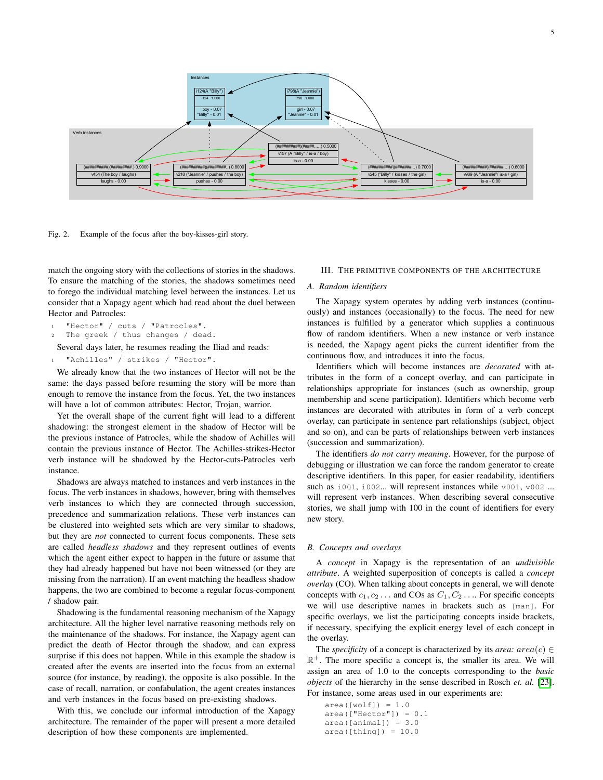

<span id="page-4-3"></span>Fig. 2. Example of the focus after the boy-kisses-girl story.

match the ongoing story with the collections of stories in the shadows. To ensure the matching of the stories, the shadows sometimes need to forego the individual matching level between the instances. Let us consider that a Xapagy agent which had read about the duel between Hector and Patrocles:

```
1 "Hector" / cuts / "Patrocles".
```

```
The greek / thus changes / dead.
```
Several days later, he resumes reading the Iliad and reads:

```
1 "Achilles" / strikes / "Hector".
```
We already know that the two instances of Hector will not be the same: the days passed before resuming the story will be more than enough to remove the instance from the focus. Yet, the two instances will have a lot of common attributes: Hector, Trojan, warrior.

Yet the overall shape of the current fight will lead to a different shadowing: the strongest element in the shadow of Hector will be the previous instance of Patrocles, while the shadow of Achilles will contain the previous instance of Hector. The Achilles-strikes-Hector verb instance will be shadowed by the Hector-cuts-Patrocles verb instance.

Shadows are always matched to instances and verb instances in the focus. The verb instances in shadows, however, bring with themselves verb instances to which they are connected through succession, precedence and summarization relations. These verb instances can be clustered into weighted sets which are very similar to shadows, but they are *not* connected to current focus components. These sets are called *headless shadows* and they represent outlines of events which the agent either expect to happen in the future or assume that they had already happened but have not been witnessed (or they are missing from the narration). If an event matching the headless shadow happens, the two are combined to become a regular focus-component / shadow pair.

Shadowing is the fundamental reasoning mechanism of the Xapagy architecture. All the higher level narrative reasoning methods rely on the maintenance of the shadows. For instance, the Xapagy agent can predict the death of Hector through the shadow, and can express surprise if this does not happen. While in this example the shadow is created after the events are inserted into the focus from an external source (for instance, by reading), the opposite is also possible. In the case of recall, narration, or confabulation, the agent creates instances and verb instances in the focus based on pre-existing shadows.

With this, we conclude our informal introduction of the Xapagy architecture. The remainder of the paper will present a more detailed description of how these components are implemented.

## <span id="page-4-0"></span>III. THE PRIMITIVE COMPONENTS OF THE ARCHITECTURE

## <span id="page-4-1"></span>*A. Random identifiers*

The Xapagy system operates by adding verb instances (continuously) and instances (occasionally) to the focus. The need for new instances is fulfilled by a generator which supplies a continuous flow of random identifiers. When a new instance or verb instance is needed, the Xapagy agent picks the current identifier from the continuous flow, and introduces it into the focus.

Identifiers which will become instances are *decorated* with attributes in the form of a concept overlay, and can participate in relationships appropriate for instances (such as ownership, group membership and scene participation). Identifiers which become verb instances are decorated with attributes in form of a verb concept overlay, can participate in sentence part relationships (subject, object and so on), and can be parts of relationships between verb instances (succession and summarization).

The identifiers *do not carry meaning*. However, for the purpose of debugging or illustration we can force the random generator to create descriptive identifiers. In this paper, for easier readability, identifiers such as  $\pm 001$ ,  $\pm 002...$  will represent instances while v001, v002 ... will represent verb instances. When describing several consecutive stories, we shall jump with 100 in the count of identifiers for every new story.

## <span id="page-4-2"></span>*B. Concepts and overlays*

A *concept* in Xapagy is the representation of an *undivisible attribute*. A weighted superposition of concepts is called a *concept overlay* (CO). When talking about concepts in general, we will denote concepts with  $c_1, c_2 \ldots$  and COs as  $C_1, C_2 \ldots$  For specific concepts we will use descriptive names in brackets such as [man]. For specific overlays, we list the participating concepts inside brackets, if necessary, specifying the explicit energy level of each concept in the overlay.

The *specificity* of a concept is characterized by its *area:*  $area(c) \in$  $\mathbb{R}^+$ . The more specific a concept is, the smaller its area. We will assign an area of 1.0 to the concepts corresponding to the *basic objects* of the hierarchy in the sense described in Rosch *et. al.* [\[23\]](#page-26-5). For instance, some areas used in our experiments are:

```
area([wolf]) = 1.0area(["Hector"] = 0.1area([animal]) = 3.0area([thing]) = 10.0
```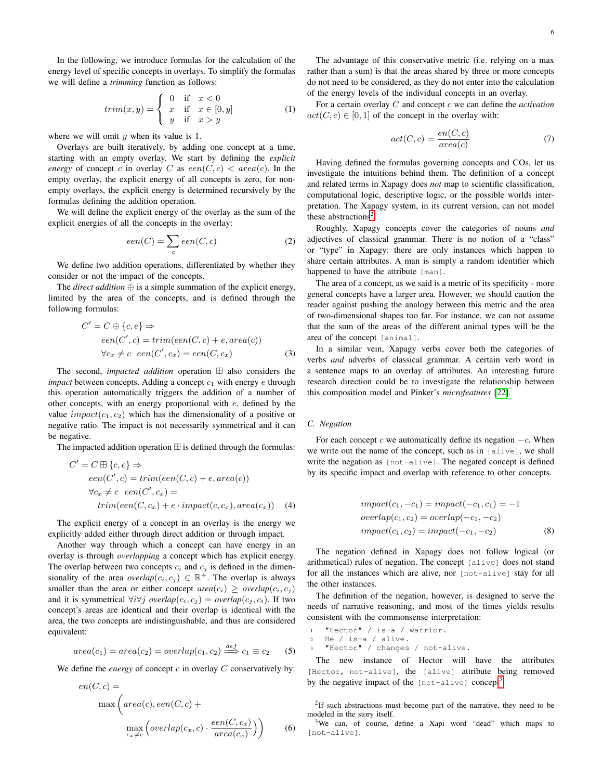In the following, we introduce formulas for the calculation of the energy level of specific concepts in overlays. To simplify the formulas we will define a *trimming* function as follows:

$$
trim(x,y) = \begin{cases} 0 & \text{if } x < 0\\ x & \text{if } x \in [0,y] \\ y & \text{if } x > y \end{cases}
$$
 (1)

where we will omit  $y$  when its value is 1.

Overlays are built iteratively, by adding one concept at a time, starting with an empty overlay. We start by defining the *explicit energy* of concept c in overlay C as  $een(C, c) < area(c)$ . In the empty overlay, the explicit energy of all concepts is zero, for nonempty overlays, the explicit energy is determined recursively by the formulas defining the addition operation.

We will define the explicit energy of the overlay as the sum of the explicit energies of all the concepts in the overlay:

$$
een(C) = \sum_{c} een(C, c)
$$
 (2)

We define two addition operations, differentiated by whether they consider or not the impact of the concepts.

The *direct addition*  $\oplus$  is a simple summation of the explicit energy, limited by the area of the concepts, and is defined through the following formulas:

$$
C' = C \oplus \{c, e\} \Rightarrow
$$
  
een(C', c) = trim(een(C, c) + e, area(c))  

$$
\forall c_x \neq c \text{ } een(C', c_x) = een(C, c_x)
$$
 (3)

The second, *impacted addition* operation  $\boxplus$  also considers the *impact* between concepts. Adding a concept  $c_1$  with energy e through this operation automatically triggers the addition of a number of other concepts, with an energy proportional with e, defined by the value  $impact(c_1, c_2)$  which has the dimensionality of a positive or negative ratio. The impact is not necessarily symmetrical and it can be negative.

The impacted addition operation  $\boxplus$  is defined through the formulas:

$$
C' = C \boxplus \{c, e\} \Rightarrow
$$
  
een(C', c) = trim(een(C, c) + e, area(c))  

$$
\forall c_x \neq c \text{ } een(C', c_x) =
$$
  
trim(een(C, c\_x) + e \cdot impact(c, c\_x), area(c\_x)) (4)

The explicit energy of a concept in an overlay is the energy we explicitly added either through direct addition or through impact.

Another way through which a concept can have energy in an overlay is through *overlapping* a concept which has explicit energy. The overlap between two concepts  $c_i$  and  $c_j$  is defined in the dimensionality of the area *overlap* $(c_i, c_j) \in \mathbb{R}^+$ . The overlap is always smaller than the area or either concept  $area(c_i) \geq overlap(c_i, c_j)$ and it is symmetrical  $\forall i \forall j$  *overlap*( $c_i, c_j$ ) = *overlap*( $c_j, c_i$ ). If two concept's areas are identical and their overlap is identical with the area, the two concepts are indistinguishable, and thus are considered equivalent:

$$
area(c_1) = area(c_2) = overlap(c_1, c_2) \stackrel{def}{\implies} c_1 \equiv c_2 \qquad (5)
$$

We define the *energy* of concept  $c$  in overlay  $C$  conservatively by:

$$
en(C, c) =
$$
  
\n
$$
\max \left( area(c), een(C, c) + \max_{c_x \neq c} \left( overlap(c_x, c) \cdot \frac{een(C, c_x)}{area(c_x)} \right) \right)
$$
\n(6)

The advantage of this conservative metric (i.e. relying on a max rather than a sum) is that the areas shared by three or more concepts do not need to be considered, as they do not enter into the calculation of the energy levels of the individual concepts in an overlay.

For a certain overlay C and concept c we can define the *activation*  $act(C, c) \in [0, 1]$  of the concept in the overlay with:

$$
act(C, c) = \frac{en(C, c)}{area(c)}\tag{7}
$$

Having defined the formulas governing concepts and COs, let us investigate the intuitions behind them. The definition of a concept and related terms in Xapagy does *not* map to scientific classification, computational logic, descriptive logic, or the possible worlds interpretation. The Xapagy system, in its current version, can not model these abstractions<sup>[2](#page-5-1)</sup>.

Roughly, Xapagy concepts cover the categories of nouns *and* adjectives of classical grammar. There is no notion of a "class" or "type" in Xapagy: there are only instances which happen to share certain attributes. A man is simply a random identifier which happened to have the attribute [man].

The area of a concept, as we said is a metric of its specificity - more general concepts have a larger area. However, we should caution the reader against pushing the analogy between this metric and the area of two-dimensional shapes too far. For instance, we can not assume that the sum of the areas of the different animal types will be the area of the concept [animal].

In a similar vein, Xapagy verbs cover both the categories of verbs *and* adverbs of classical grammar. A certain verb word in a sentence maps to an overlay of attributes. An interesting future research direction could be to investigate the relationship between this composition model and Pinker's *microfeatures* [\[22\]](#page-26-6).

#### <span id="page-5-0"></span>*C. Negation*

For each concept c we automatically define its negation  $-c$ . When we write out the name of the concept, such as in [alive], we shall write the negation as [not-alive]. The negated concept is defined by its specific impact and overlap with reference to other concepts.

$$
impact(c_1, -c_1) = impact(-c_1, c_1) = -1
$$
  
overlap(c\_1, c\_2) = overlap(-c\_1, -c\_2)  

$$
impact(c_1, c_2) = impact(-c_1, -c_2)
$$
 (8)

The negation defined in Xapagy does not follow logical (or arithmetical) rules of negation. The concept [alive] does not stand for all the instances which are alive, nor [not-alive] stay for all the other instances.

The definition of the negation, however, is designed to serve the needs of narrative reasoning, and most of the times yields results consistent with the commonsense interpretation:

<sup>1</sup> "Hector" / is-a / warrior.

```
2 He / is-a / alive.
```
<sup>3</sup> "Hector" / changes / not-alive.

The new instance of Hector will have the attributes [Hector, not-alive], the [alive] attribute being removed by the negative impact of the  $[not-alive]$  concept<sup>[3](#page-5-2)</sup>.

<span id="page-5-1"></span> $2$ If such abstractions must become part of the narrative, they need to be modeled in the story itself.

<span id="page-5-2"></span><sup>3</sup>We can, of course, define a Xapi word "dead" which maps to [not-alive].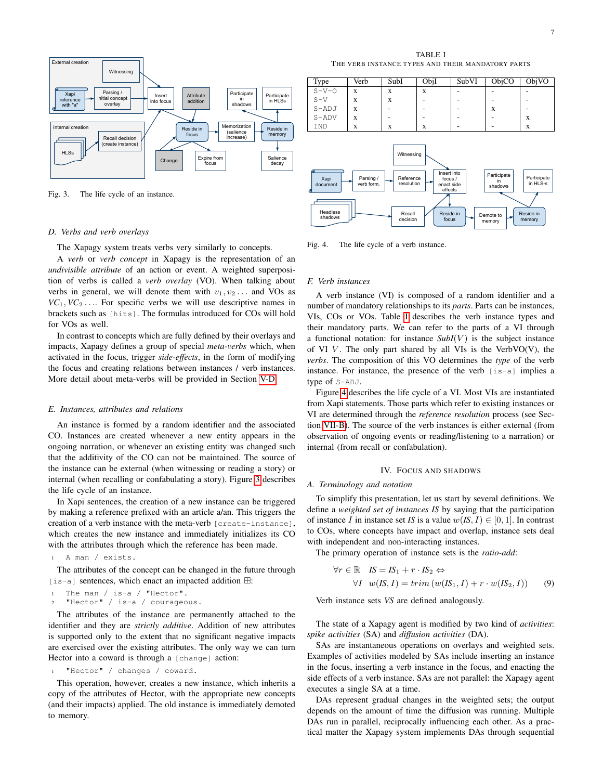

<span id="page-6-5"></span>Fig. 3. The life cycle of an instance.

#### <span id="page-6-0"></span>*D. Verbs and verb overlays*

The Xapagy system treats verbs very similarly to concepts.

A *verb* or *verb concept* in Xapagy is the representation of an *undivisible attribute* of an action or event. A weighted superposition of verbs is called a *verb overlay* (VO). When talking about verbs in general, we will denote them with  $v_1, v_2, \ldots$  and VOs as  $VC_1, VC_2$ .... For specific verbs we will use descriptive names in brackets such as [hits]. The formulas introduced for COs will hold for VOs as well.

In contrast to concepts which are fully defined by their overlays and impacts, Xapagy defines a group of special *meta-verbs* which, when activated in the focus, trigger *side-effects*, in the form of modifying the focus and creating relations between instances / verb instances. More detail about meta-verbs will be provided in Section [V-D.](#page-9-0)

#### <span id="page-6-1"></span>*E. Instances, attributes and relations*

An instance is formed by a random identifier and the associated CO. Instances are created whenever a new entity appears in the ongoing narration, or whenever an existing entity was changed such that the additivity of the CO can not be maintained. The source of the instance can be external (when witnessing or reading a story) or internal (when recalling or confabulating a story). Figure [3](#page-6-5) describes the life cycle of an instance.

In Xapi sentences, the creation of a new instance can be triggered by making a reference prefixed with an article a/an. This triggers the creation of a verb instance with the meta-verb [create-instance], which creates the new instance and immediately initializes its CO with the attributes through which the reference has been made.

<sup>1</sup> A man / exists.

The attributes of the concept can be changed in the future through  $[i s-a]$  sentences, which enact an impacted addition  $\boxplus$ :

```
The man / is-a / "Hector".
"Hector" / is-a / courageous.
```
The attributes of the instance are permanently attached to the identifier and they are *strictly additive*. Addition of new attributes is supported only to the extent that no significant negative impacts are exercised over the existing attributes. The only way we can turn Hector into a coward is through a [change] action:

<sup>1</sup> "Hector" / changes / coward.

This operation, however, creates a new instance, which inherits a copy of the attributes of Hector, with the appropriate new concepts (and their impacts) applied. The old instance is immediately demoted to memory.

TABLE I THE VERB INSTANCE TYPES AND THEIR MANDATORY PARTS

<span id="page-6-6"></span>

<span id="page-6-7"></span>Fig. 4. The life cycle of a verb instance.

## <span id="page-6-2"></span>*F. Verb instances*

A verb instance (VI) is composed of a random identifier and a number of mandatory relationships to its *parts*. Parts can be instances, VIs, COs or VOs. Table [I](#page-6-6) describes the verb instance types and their mandatory parts. We can refer to the parts of a VI through a functional notation: for instance  $SubI(V)$  is the subject instance of VI  $V$ . The only part shared by all VIs is the VerbVO(V), the *verbs*. The composition of this VO determines the *type* of the verb instance. For instance, the presence of the verb [is-a] implies a type of S-ADJ.

Figure [4](#page-6-7) describes the life cycle of a VI. Most VIs are instantiated from Xapi statements. Those parts which refer to existing instances or VI are determined through the *reference resolution* process (see Section [VII-B\)](#page-13-1). The source of the verb instances is either external (from observation of ongoing events or reading/listening to a narration) or internal (from recall or confabulation).

#### IV. FOCUS AND SHADOWS

#### <span id="page-6-4"></span><span id="page-6-3"></span>*A. Terminology and notation*

To simplify this presentation, let us start by several definitions. We define a *weighted set of instances IS* by saying that the participation of instance *I* in instance set *IS* is a value  $w(IS, I) \in [0, 1]$ . In contrast to COs, where concepts have impact and overlap, instance sets deal with independent and non-interacting instances.

The primary operation of instance sets is the *ratio-add*:

$$
\forall r \in \mathbb{R} \quad IS = IS_1 + r \cdot IS_2 \Leftrightarrow
$$
  

$$
\forall I \quad w(IS, I) = trim \left( w(IS_1, I) + r \cdot w(IS_2, I) \right) \tag{9}
$$

Verb instance sets *VS* are defined analogously.

The state of a Xapagy agent is modified by two kind of *activities*: *spike activities* (SA) and *diffusion activities* (DA).

SAs are instantaneous operations on overlays and weighted sets. Examples of activities modeled by SAs include inserting an instance in the focus, inserting a verb instance in the focus, and enacting the side effects of a verb instance. SAs are not parallel: the Xapagy agent executes a single SA at a time.

DAs represent gradual changes in the weighted sets; the output depends on the amount of time the diffusion was running. Multiple DAs run in parallel, reciprocally influencing each other. As a practical matter the Xapagy system implements DAs through sequential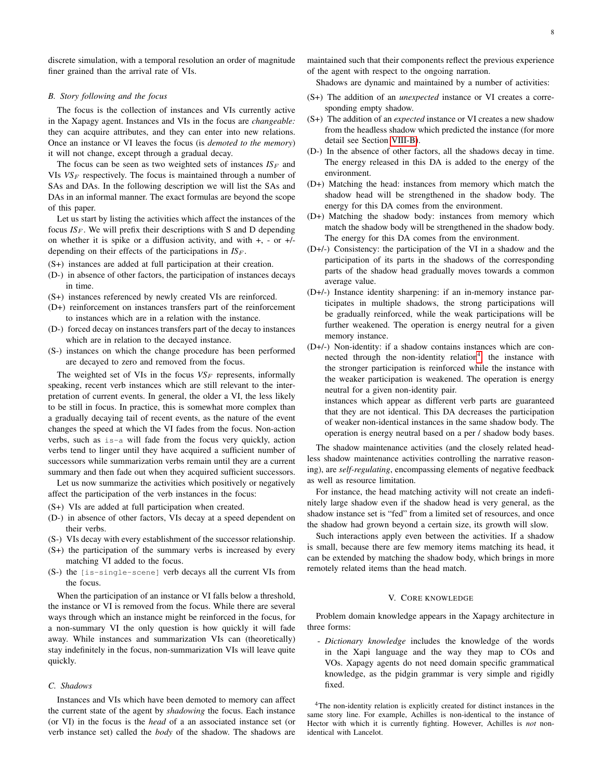discrete simulation, with a temporal resolution an order of magnitude finer grained than the arrival rate of VIs.

## <span id="page-7-0"></span>*B. Story following and the focus*

The focus is the collection of instances and VIs currently active in the Xapagy agent. Instances and VIs in the focus are *changeable:* they can acquire attributes, and they can enter into new relations. Once an instance or VI leaves the focus (is *demoted to the memory*) it will not change, except through a gradual decay.

The focus can be seen as two weighted sets of instances  $IS_F$  and VIs  $VS_F$  respectively. The focus is maintained through a number of SAs and DAs. In the following description we will list the SAs and DAs in an informal manner. The exact formulas are beyond the scope of this paper.

Let us start by listing the activities which affect the instances of the focus  $IS_F$ . We will prefix their descriptions with S and D depending on whether it is spike or a diffusion activity, and with  $+$ ,  $-$  or  $+$ / $$ depending on their effects of the participations in  $IS_F$ .

(S+) instances are added at full participation at their creation.

- (D-) in absence of other factors, the participation of instances decays in time.
- (S+) instances referenced by newly created VIs are reinforced.
- (D+) reinforcement on instances transfers part of the reinforcement to instances which are in a relation with the instance.
- (D-) forced decay on instances transfers part of the decay to instances which are in relation to the decayed instance.
- (S-) instances on which the change procedure has been performed are decayed to zero and removed from the focus.

The weighted set of VIs in the focus  $VS_F$  represents, informally speaking, recent verb instances which are still relevant to the interpretation of current events. In general, the older a VI, the less likely to be still in focus. In practice, this is somewhat more complex than a gradually decaying tail of recent events, as the nature of the event changes the speed at which the VI fades from the focus. Non-action verbs, such as is-a will fade from the focus very quickly, action verbs tend to linger until they have acquired a sufficient number of successors while summarization verbs remain until they are a current summary and then fade out when they acquired sufficient successors.

Let us now summarize the activities which positively or negatively affect the participation of the verb instances in the focus:

- (S+) VIs are added at full participation when created.
- (D-) in absence of other factors, VIs decay at a speed dependent on their verbs.
- (S-) VIs decay with every establishment of the successor relationship.
- (S+) the participation of the summary verbs is increased by every matching VI added to the focus.
- (S-) the [is-single-scene] verb decays all the current VIs from the focus.

When the participation of an instance or VI falls below a threshold, the instance or VI is removed from the focus. While there are several ways through which an instance might be reinforced in the focus, for a non-summary VI the only question is how quickly it will fade away. While instances and summarization VIs can (theoretically) stay indefinitely in the focus, non-summarization VIs will leave quite quickly.

## <span id="page-7-1"></span>*C. Shadows*

Instances and VIs which have been demoted to memory can affect the current state of the agent by *shadowing* the focus. Each instance (or VI) in the focus is the *head* of a an associated instance set (or verb instance set) called the *body* of the shadow. The shadows are maintained such that their components reflect the previous experience of the agent with respect to the ongoing narration.

Shadows are dynamic and maintained by a number of activities:

- (S+) The addition of an *unexpected* instance or VI creates a corresponding empty shadow.
- (S+) The addition of an *expected* instance or VI creates a new shadow from the headless shadow which predicted the instance (for more detail see Section [VIII-B\)](#page-15-0).
- (D-) In the absence of other factors, all the shadows decay in time. The energy released in this DA is added to the energy of the environment.
- (D+) Matching the head: instances from memory which match the shadow head will be strengthened in the shadow body. The energy for this DA comes from the environment.
- (D+) Matching the shadow body: instances from memory which match the shadow body will be strengthened in the shadow body. The energy for this DA comes from the environment.
- (D+/-) Consistency: the participation of the VI in a shadow and the participation of its parts in the shadows of the corresponding parts of the shadow head gradually moves towards a common average value.
- (D+/-) Instance identity sharpening: if an in-memory instance participates in multiple shadows, the strong participations will be gradually reinforced, while the weak participations will be further weakened. The operation is energy neutral for a given memory instance.
- (D+/-) Non-identity: if a shadow contains instances which are con-nected through the non-identity relation<sup>[4](#page-7-3)</sup>, the instance with the stronger participation is reinforced while the instance with the weaker participation is weakened. The operation is energy neutral for a given non-identity pair.

instances which appear as different verb parts are guaranteed that they are not identical. This DA decreases the participation of weaker non-identical instances in the same shadow body. The operation is energy neutral based on a per / shadow body bases.

The shadow maintenance activities (and the closely related headless shadow maintenance activities controlling the narrative reasoning), are *self-regulating*, encompassing elements of negative feedback as well as resource limitation.

For instance, the head matching activity will not create an indefinitely large shadow even if the shadow head is very general, as the shadow instance set is "fed" from a limited set of resources, and once the shadow had grown beyond a certain size, its growth will slow.

Such interactions apply even between the activities. If a shadow is small, because there are few memory items matching its head, it can be extended by matching the shadow body, which brings in more remotely related items than the head match.

#### V. CORE KNOWLEDGE

<span id="page-7-2"></span>Problem domain knowledge appears in the Xapagy architecture in three forms:

- *Dictionary knowledge* includes the knowledge of the words in the Xapi language and the way they map to COs and VOs. Xapagy agents do not need domain specific grammatical knowledge, as the pidgin grammar is very simple and rigidly fixed.

<span id="page-7-3"></span><sup>4</sup>The non-identity relation is explicitly created for distinct instances in the same story line. For example, Achilles is non-identical to the instance of Hector with which it is currently fighting. However, Achilles is *not* nonidentical with Lancelot.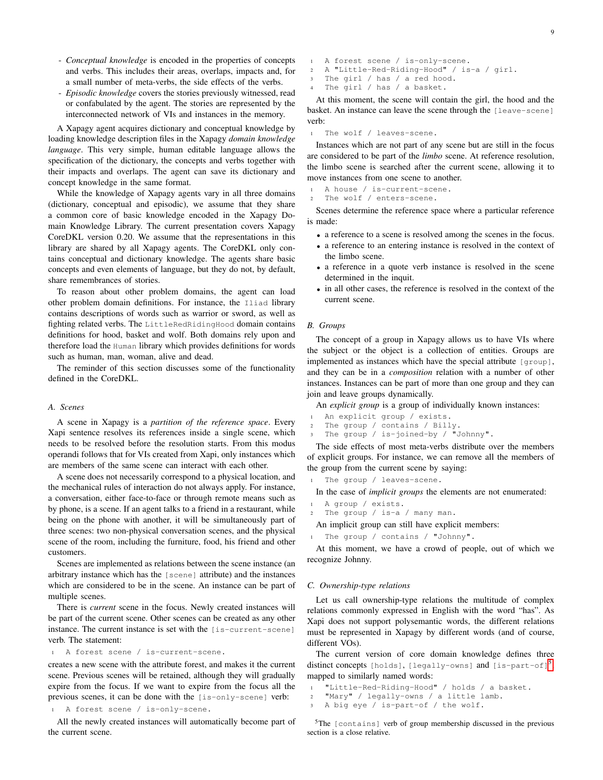- *Conceptual knowledge* is encoded in the properties of concepts and verbs. This includes their areas, overlaps, impacts and, for a small number of meta-verbs, the side effects of the verbs.
- *Episodic knowledge* covers the stories previously witnessed, read or confabulated by the agent. The stories are represented by the interconnected network of VIs and instances in the memory.

A Xapagy agent acquires dictionary and conceptual knowledge by loading knowledge description files in the Xapagy *domain knowledge language*. This very simple, human editable language allows the specification of the dictionary, the concepts and verbs together with their impacts and overlaps. The agent can save its dictionary and concept knowledge in the same format.

While the knowledge of Xapagy agents vary in all three domains (dictionary, conceptual and episodic), we assume that they share a common core of basic knowledge encoded in the Xapagy Domain Knowledge Library. The current presentation covers Xapagy CoreDKL version 0.20. We assume that the representations in this library are shared by all Xapagy agents. The CoreDKL only contains conceptual and dictionary knowledge. The agents share basic concepts and even elements of language, but they do not, by default, share remembrances of stories.

To reason about other problem domains, the agent can load other problem domain definitions. For instance, the Iliad library contains descriptions of words such as warrior or sword, as well as fighting related verbs. The LittleRedRidingHood domain contains definitions for hood, basket and wolf. Both domains rely upon and therefore load the Human library which provides definitions for words such as human, man, woman, alive and dead.

The reminder of this section discusses some of the functionality defined in the CoreDKL.

#### <span id="page-8-0"></span>*A. Scenes*

A scene in Xapagy is a *partition of the reference space*. Every Xapi sentence resolves its references inside a single scene, which needs to be resolved before the resolution starts. From this modus operandi follows that for VIs created from Xapi, only instances which are members of the same scene can interact with each other.

A scene does not necessarily correspond to a physical location, and the mechanical rules of interaction do not always apply. For instance, a conversation, either face-to-face or through remote means such as by phone, is a scene. If an agent talks to a friend in a restaurant, while being on the phone with another, it will be simultaneously part of three scenes: two non-physical conversation scenes, and the physical scene of the room, including the furniture, food, his friend and other customers.

Scenes are implemented as relations between the scene instance (an arbitrary instance which has the [scene] attribute) and the instances which are considered to be in the scene. An instance can be part of multiple scenes.

There is *current* scene in the focus. Newly created instances will be part of the current scene. Other scenes can be created as any other instance. The current instance is set with the [is-current-scene] verb. The statement:

<sup>1</sup> A forest scene / is-current-scene.

creates a new scene with the attribute forest, and makes it the current scene. Previous scenes will be retained, although they will gradually expire from the focus. If we want to expire from the focus all the previous scenes, it can be done with the [is-only-scene] verb:

<sup>1</sup> A forest scene / is-only-scene.

All the newly created instances will automatically become part of the current scene.

A forest scene / is-only-scene. <sup>2</sup> A "Little-Red-Riding-Hood" / is-a / girl. <sup>3</sup> The girl / has / a red hood.

The girl / has / a basket.

At this moment, the scene will contain the girl, the hood and the basket. An instance can leave the scene through the [leave-scene] verb:

The wolf / leaves-scene.

Instances which are not part of any scene but are still in the focus are considered to be part of the *limbo* scene. At reference resolution, the limbo scene is searched after the current scene, allowing it to move instances from one scene to another.

A house / is-current-scene.

<sup>2</sup> The wolf / enters-scene.

Scenes determine the reference space where a particular reference is made:

- a reference to a scene is resolved among the scenes in the focus.
- a reference to an entering instance is resolved in the context of the limbo scene.
- a reference in a quote verb instance is resolved in the scene determined in the inquit.
- in all other cases, the reference is resolved in the context of the current scene.

#### <span id="page-8-1"></span>*B. Groups*

The concept of a group in Xapagy allows us to have VIs where the subject or the object is a collection of entities. Groups are implemented as instances which have the special attribute [group], and they can be in a *composition* relation with a number of other instances. Instances can be part of more than one group and they can join and leave groups dynamically.

An *explicit group* is a group of individually known instances:

- <sup>1</sup> An explicit group / exists.
- <sup>2</sup> The group / contains / Billy.
- The group / is-joined-by / "Johnny".

The side effects of most meta-verbs distribute over the members of explicit groups. For instance, we can remove all the members of the group from the current scene by saying:

<sup>1</sup> The group / leaves-scene.

In the case of *implicit groups* the elements are not enumerated:

- <sup>1</sup> A group / exists.
- <sup>2</sup> The group / is-a / many man.

An implicit group can still have explicit members:

The group / contains / "Johnny".

At this moment, we have a crowd of people, out of which we recognize Johnny.

#### <span id="page-8-2"></span>*C. Ownership-type relations*

Let us call ownership-type relations the multitude of complex relations commonly expressed in English with the word "has". As Xapi does not support polysemantic words, the different relations must be represented in Xapagy by different words (and of course, different VOs).

The current version of core domain knowledge defines three distinct concepts [holds], [legally-owns] and [is-part-of] $^5,$  $^5,$  $^5,$ mapped to similarly named words:

```
1 "Little-Red-Riding-Hood" / holds / a basket.
```

```
2 "Mary" / legally-owns / a little lamb.
```

```
3 A big eye / is-part-of / the wolf.
```
<span id="page-8-3"></span><sup>5</sup>The [contains] verb of group membership discussed in the previous section is a close relative.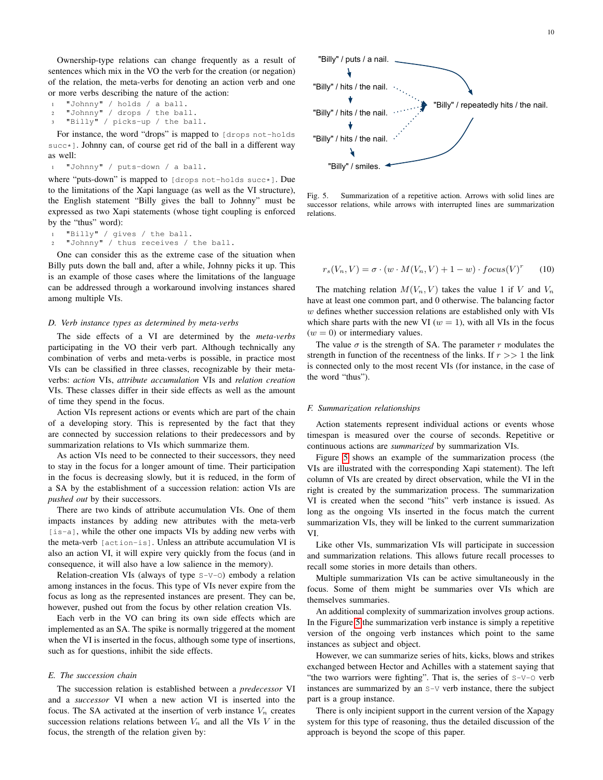Ownership-type relations can change frequently as a result of sentences which mix in the VO the verb for the creation (or negation) of the relation, the meta-verbs for denoting an action verb and one or more verbs describing the nature of the action:

```
1 "Johnny" / holds / a ball.
```

```
"Johnny" / drops / the ball.
```

```
"Billy" / picks-up / the ball.
```
For instance, the word "drops" is mapped to [drops not-holds succ\*]. Johnny can, of course get rid of the ball in a different way as well:

<sup>1</sup> "Johnny" / puts-down / a ball.

where "puts-down" is mapped to [drops not-holds succ\*]. Due to the limitations of the Xapi language (as well as the VI structure), the English statement "Billy gives the ball to Johnny" must be expressed as two Xapi statements (whose tight coupling is enforced by the "thus" word):

```
"Billy" / gives / the ball.
2 "Johnny" / thus receives / the ball.
```
One can consider this as the extreme case of the situation when Billy puts down the ball and, after a while, Johnny picks it up. This is an example of those cases where the limitations of the language can be addressed through a workaround involving instances shared among multiple VIs.

## <span id="page-9-0"></span>*D. Verb instance types as determined by meta-verbs*

The side effects of a VI are determined by the *meta-verbs* participating in the VO their verb part. Although technically any combination of verbs and meta-verbs is possible, in practice most VIs can be classified in three classes, recognizable by their metaverbs: *action* VIs, *attribute accumulation* VIs and *relation creation* VIs. These classes differ in their side effects as well as the amount of time they spend in the focus.

Action VIs represent actions or events which are part of the chain of a developing story. This is represented by the fact that they are connected by succession relations to their predecessors and by summarization relations to VIs which summarize them.

As action VIs need to be connected to their successors, they need to stay in the focus for a longer amount of time. Their participation in the focus is decreasing slowly, but it is reduced, in the form of a SA by the establishment of a succession relation: action VIs are *pushed out* by their successors.

There are two kinds of attribute accumulation VIs. One of them impacts instances by adding new attributes with the meta-verb [is-a], while the other one impacts VIs by adding new verbs with the meta-verb [action-is]. Unless an attribute accumulation VI is also an action VI, it will expire very quickly from the focus (and in consequence, it will also have a low salience in the memory).

Relation-creation VIs (always of type S-V-O) embody a relation among instances in the focus. This type of VIs never expire from the focus as long as the represented instances are present. They can be, however, pushed out from the focus by other relation creation VIs.

Each verb in the VO can bring its own side effects which are implemented as an SA. The spike is normally triggered at the moment when the VI is inserted in the focus, although some type of insertions, such as for questions, inhibit the side effects.

## <span id="page-9-1"></span>*E. The succession chain*

The succession relation is established between a *predecessor* VI and a *successor* VI when a new action VI is inserted into the focus. The SA activated at the insertion of verb instance  $V_n$  creates succession relations relations between  $V_n$  and all the VIs V in the focus, the strength of the relation given by:



<span id="page-9-3"></span>Fig. 5. Summarization of a repetitive action. Arrows with solid lines are successor relations, while arrows with interrupted lines are summarization relations.

$$
r_s(V_n, V) = \sigma \cdot (w \cdot M(V_n, V) + 1 - w) \cdot focus(V)^r \tag{10}
$$

The matching relation  $M(V_n, V)$  takes the value 1 if V and  $V_n$ have at least one common part, and 0 otherwise. The balancing factor  $w$  defines whether succession relations are established only with VIs which share parts with the new VI ( $w = 1$ ), with all VIs in the focus  $(w = 0)$  or intermediary values.

The value  $\sigma$  is the strength of SA. The parameter r modulates the strength in function of the recentness of the links. If  $r \gg 1$  the link is connected only to the most recent VIs (for instance, in the case of the word "thus").

#### <span id="page-9-2"></span>*F. Summarization relationships*

Action statements represent individual actions or events whose timespan is measured over the course of seconds. Repetitive or continuous actions are *summarized* by summarization VIs.

Figure [5](#page-9-3) shows an example of the summarization process (the VIs are illustrated with the corresponding Xapi statement). The left column of VIs are created by direct observation, while the VI in the right is created by the summarization process. The summarization VI is created when the second "hits" verb instance is issued. As long as the ongoing VIs inserted in the focus match the current summarization VIs, they will be linked to the current summarization VI.

Like other VIs, summarization VIs will participate in succession and summarization relations. This allows future recall processes to recall some stories in more details than others.

Multiple summarization VIs can be active simultaneously in the focus. Some of them might be summaries over VIs which are themselves summaries.

An additional complexity of summarization involves group actions. In the Figure [5](#page-9-3) the summarization verb instance is simply a repetitive version of the ongoing verb instances which point to the same instances as subject and object.

However, we can summarize series of hits, kicks, blows and strikes exchanged between Hector and Achilles with a statement saying that "the two warriors were fighting". That is, the series of S-V-O verb instances are summarized by an S-V verb instance, there the subject part is a group instance.

There is only incipient support in the current version of the Xapagy system for this type of reasoning, thus the detailed discussion of the approach is beyond the scope of this paper.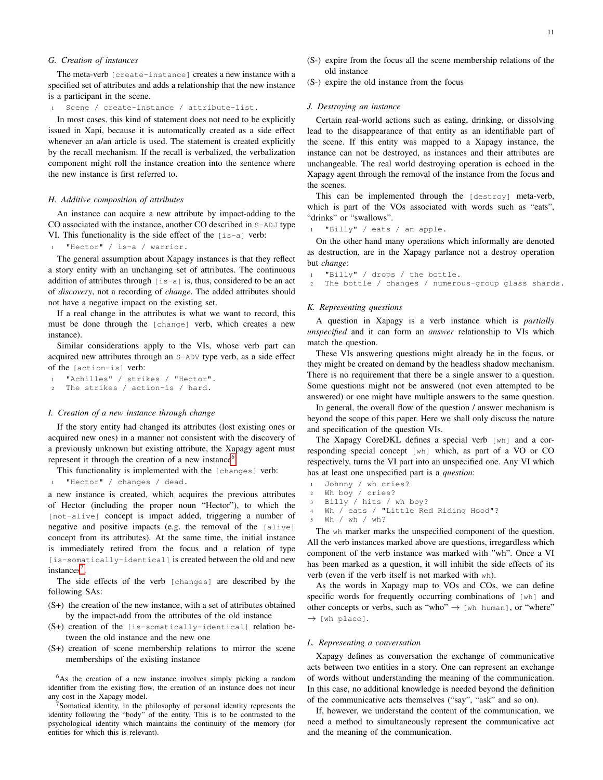## <span id="page-10-0"></span>*G. Creation of instances*

The meta-verb [create-instance] creates a new instance with a specified set of attributes and adds a relationship that the new instance is a participant in the scene.

Scene / create-instance / attribute-list.

In most cases, this kind of statement does not need to be explicitly issued in Xapi, because it is automatically created as a side effect whenever an a/an article is used. The statement is created explicitly by the recall mechanism. If the recall is verbalized, the verbalization component might roll the instance creation into the sentence where the new instance is first referred to.

#### <span id="page-10-1"></span>*H. Additive composition of attributes*

An instance can acquire a new attribute by impact-adding to the CO associated with the instance, another CO described in S-ADJ type VI. This functionality is the side effect of the [is-a] verb:

<sup>1</sup> "Hector" / is-a / warrior.

The general assumption about Xapagy instances is that they reflect a story entity with an unchanging set of attributes. The continuous addition of attributes through  $[i s-a]$  is, thus, considered to be an act of *discovery*, not a recording of *change*. The added attributes should not have a negative impact on the existing set.

If a real change in the attributes is what we want to record, this must be done through the [change] verb, which creates a new instance).

Similar considerations apply to the VIs, whose verb part can acquired new attributes through an S-ADV type verb, as a side effect of the [action-is] verb:

"Achilles" / strikes / "Hector". <sup>2</sup> The strikes / action-is / hard.

#### <span id="page-10-2"></span>*I. Creation of a new instance through change*

If the story entity had changed its attributes (lost existing ones or acquired new ones) in a manner not consistent with the discovery of a previously unknown but existing attribute, the Xapagy agent must represent it through the creation of a new instance<sup>[6](#page-10-6)</sup>.

This functionality is implemented with the [changes] verb:

"Hector" / changes / dead.

a new instance is created, which acquires the previous attributes of Hector (including the proper noun "Hector"), to which the [not-alive] concept is impact added, triggering a number of negative and positive impacts (e.g. the removal of the [alive] concept from its attributes). At the same time, the initial instance is immediately retired from the focus and a relation of type [is-somatically-identical] is created between the old and new instances<sup>[7](#page-10-7)</sup>.

The side effects of the verb [changes] are described by the following SAs:

- (S+) the creation of the new instance, with a set of attributes obtained by the impact-add from the attributes of the old instance
- (S+) creation of the [is-somatically-identical] relation between the old instance and the new one
- (S+) creation of scene membership relations to mirror the scene memberships of the existing instance

<span id="page-10-6"></span><sup>6</sup>As the creation of a new instance involves simply picking a random identifier from the existing flow, the creation of an instance does not incur any cost in the Xapagy model.

<span id="page-10-7"></span><sup>7</sup>Somatical identity, in the philosophy of personal identity represents the identity following the "body" of the entity. This is to be contrasted to the psychological identity which maintains the continuity of the memory (for entities for which this is relevant).

(S-) expire from the focus all the scene membership relations of the old instance

(S-) expire the old instance from the focus

## <span id="page-10-3"></span>*J. Destroying an instance*

Certain real-world actions such as eating, drinking, or dissolving lead to the disappearance of that entity as an identifiable part of the scene. If this entity was mapped to a Xapagy instance, the instance can not be destroyed, as instances and their attributes are unchangeable. The real world destroying operation is echoed in the Xapagy agent through the removal of the instance from the focus and the scenes.

This can be implemented through the [destroy] meta-verb, which is part of the VOs associated with words such as "eats", "drinks" or "swallows".

```
1 "Billy" / eats / an apple.
```
On the other hand many operations which informally are denoted as destruction, are in the Xapagy parlance not a destroy operation but *change*:

```
"Billy" / drops / the bottle.
```
<sup>2</sup> The bottle / changes / numerous-group glass shards.

## <span id="page-10-4"></span>*K. Representing questions*

A question in Xapagy is a verb instance which is *partially unspecified* and it can form an *answer* relationship to VIs which match the question.

These VIs answering questions might already be in the focus, or they might be created on demand by the headless shadow mechanism. There is no requirement that there be a single answer to a question. Some questions might not be answered (not even attempted to be answered) or one might have multiple answers to the same question.

In general, the overall flow of the question / answer mechanism is beyond the scope of this paper. Here we shall only discuss the nature and specification of the question VIs.

The Xapagy CoreDKL defines a special verb [wh] and a corresponding special concept [wh] which, as part of a VO or CO respectively, turns the VI part into an unspecified one. Any VI which has at least one unspecified part is a *question*:

- <sup>1</sup> Johnny / wh cries?
- <sup>2</sup> Wh boy / cries?
- Billy / hits / wh boy?
- <sup>4</sup> Wh / eats / "Little Red Riding Hood"?
- Wh / wh / wh?

The wh marker marks the unspecified component of the question. All the verb instances marked above are questions, irregardless which component of the verb instance was marked with "wh". Once a VI has been marked as a question, it will inhibit the side effects of its verb (even if the verb itself is not marked with wh).

As the words in Xapagy map to VOs and COs, we can define specific words for frequently occurring combinations of [wh] and other concepts or verbs, such as "who"  $\rightarrow$  [wh human], or "where"  $\rightarrow$  [wh place].

# <span id="page-10-5"></span>*L. Representing a conversation*

Xapagy defines as conversation the exchange of communicative acts between two entities in a story. One can represent an exchange of words without understanding the meaning of the communication. In this case, no additional knowledge is needed beyond the definition of the communicative acts themselves ("say", "ask" and so on).

If, however, we understand the content of the communication, we need a method to simultaneously represent the communicative act and the meaning of the communication.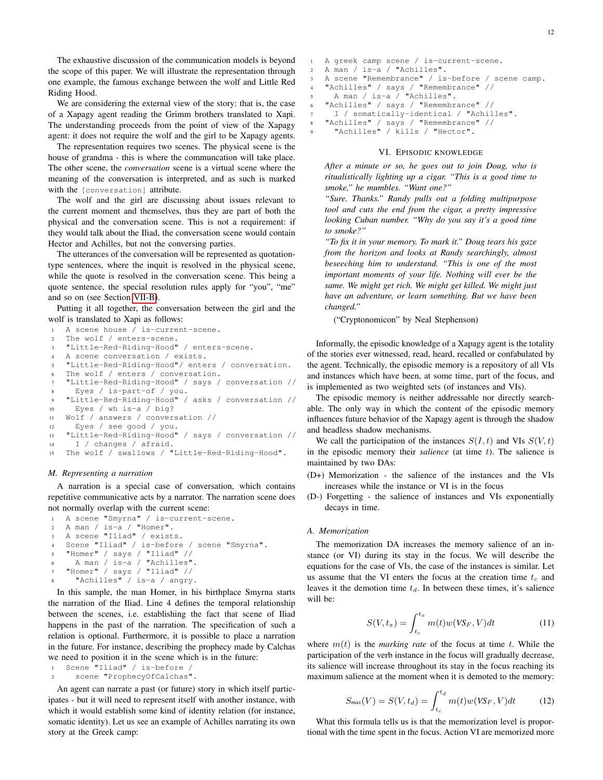The exhaustive discussion of the communication models is beyond the scope of this paper. We will illustrate the representation through one example, the famous exchange between the wolf and Little Red Riding Hood.

We are considering the external view of the story: that is, the case of a Xapagy agent reading the Grimm brothers translated to Xapi. The understanding proceeds from the point of view of the Xapagy agent: it does not require the wolf and the girl to be Xapagy agents.

The representation requires two scenes. The physical scene is the house of grandma - this is where the communcation will take place. The other scene, the *conversation* scene is a virtual scene where the meaning of the conversation is interpreted, and as such is marked with the [conversation] attribute.

The wolf and the girl are discussing about issues relevant to the current moment and themselves, thus they are part of both the physical and the conversation scene. This is not a requirement: if they would talk about the Iliad, the conversation scene would contain Hector and Achilles, but not the conversing parties.

The utterances of the conversation will be represented as quotationtype sentences, where the inquit is resolved in the physical scene, while the quote is resolved in the conversation scene. This being a quote sentence, the special resolution rules apply for "you", "me" and so on (see Section [VII-B\)](#page-13-1).

Putting it all together, the conversation between the girl and the wolf is translated to Xapi as follows:

```
1 A scene house / is-current-scene.
```

```
2 The wolf / enters-scene.
3 "Little-Red-Riding-Hood" / enters-scene.
```

```
4 A scene conversation / exists.
```

```
5 "Little-Red-Riding-Hood"/ enters / conversation.
```

```
The wolf / enters / conversation.
```

```
7 "Little-Red-Riding-Hood" / says / conversation //
8 Eyes / is-part-of / you.
```

```
9 "Little-Red-Riding-Hood" / asks / conversation //
10 Eyes / wh is-a / big?
```

```
11 Wolf / answers / conversation //
```

```
12 Eyes / see good / you.
```

```
13 "Little-Red-Riding-Hood" / says / conversation //
14 I / changes / afraid.
```

```
15 The wolf / swallows / "Little-Red-Riding-Hood".
```
## <span id="page-11-0"></span>*M. Representing a narration*

A narration is a special case of conversation, which contains repetitive communicative acts by a narrator. The narration scene does not normally overlap with the current scene:

```
1 A scene "Smyrna" / is-current-scene.
2 A man / is-a / "Homer".
3 A scene "Iliad" / exists.
   Scene "Iliad" / is-before / scene "Smyrna".
   "Homer" / says / "Iliad" //
     A man / is-a / "Achilles".
   "Homer" / says / "Iliad" //
     "Achilles" / is-a / angry.
```
In this sample, the man Homer, in his birthplace Smyrna starts the narration of the Iliad. Line 4 defines the temporal relationship between the scenes, i.e. establishing the fact that scene of Iliad happens in the past of the narration. The specification of such a relation is optional. Furthermore, it is possible to place a narration in the future. For instance, describing the prophecy made by Calchas we need to position it in the scene which is in the future:

```
Scene "Iliad" / is-before /
2 scene "ProphecyOfCalchas".
```
An agent can narrate a past (or future) story in which itself participates - but it will need to represent itself with another instance, with which it would establish some kind of identity relation (for instance, somatic identity). Let us see an example of Achilles narrating its own story at the Greek camp:

```
A greek camp scene / is-current-scene.
   2 A man / is-a / "Achilles".
3 A scene "Remembrance" / is-before / scene camp.
   "Achilles" / says / "Remembrance" //
     5 A man / is-a / "Achilles".
6 "Achilles" / says / "Remembrance" //
     7 I / somatically-identical / "Achilles".
   "Achilles" / says / "Remembrance" //
     "Achilles" / kills / "Hector".
```
#### VI. EPISODIC KNOWLEDGE

<span id="page-11-1"></span>*After a minute or so, he goes out to join Doug, who is ritualistically lighting up a cigar. "This is a good time to smoke," he mumbles. "Want one?"*

*"Sure. Thanks." Randy pulls out a folding multipurpose tool and cuts the end from the cigar, a pretty impressive looking Cuban number. "Why do you say it's a good time to smoke?"*

*"To fix it in your memory. To mark it." Doug tears his gaze from the horizon and looks at Randy searchingly, almost beseeching him to understand. "This is one of the most important moments of your life. Nothing will ever be the same. We might get rich. We might get killed. We might just have an adventure, or learn something. But we have been changed."*

("Cryptonomicon" by Neal Stephenson)

Informally, the episodic knowledge of a Xapagy agent is the totality of the stories ever witnessed, read, heard, recalled or confabulated by the agent. Technically, the episodic memory is a repository of all VIs and instances which have been, at some time, part of the focus, and is implemented as two weighted sets (of instances and VIs).

The episodic memory is neither addressable nor directly searchable. The only way in which the content of the episodic memory influences future behavior of the Xapagy agent is through the shadow and headless shadow mechanisms.

We call the participation of the instances  $S(I, t)$  and VIs  $S(V, t)$ in the episodic memory their *salience* (at time t). The salience is maintained by two DAs:

- (D+) Memorization the salience of the instances and the VIs increases while the instance or VI is in the focus
- (D-) Forgetting the salience of instances and VIs exponentially decays in time.

## <span id="page-11-2"></span>*A. Memorization*

The memorization DA increases the memory salience of an instance (or VI) during its stay in the focus. We will describe the equations for the case of VIs, the case of the instances is similar. Let us assume that the VI enters the focus at the creation time  $t_c$  and leaves it the demotion time  $t_d$ . In between these times, it's salience will be:

$$
S(V, t_x) = \int_{t_c}^{t_x} m(t)w(VS_F, V)dt
$$
 (11)

where  $m(t)$  is the *marking rate* of the focus at time t. While the participation of the verb instance in the focus will gradually decrease, its salience will increase throughout its stay in the focus reaching its maximum salience at the moment when it is demoted to the memory:

$$
S_{\text{max}}(V) = S(V, t_d) = \int_{t_c}^{t_d} m(t)w(VS_F, V)dt
$$
 (12)

What this formula tells us is that the memorization level is proportional with the time spent in the focus. Action VI are memorized more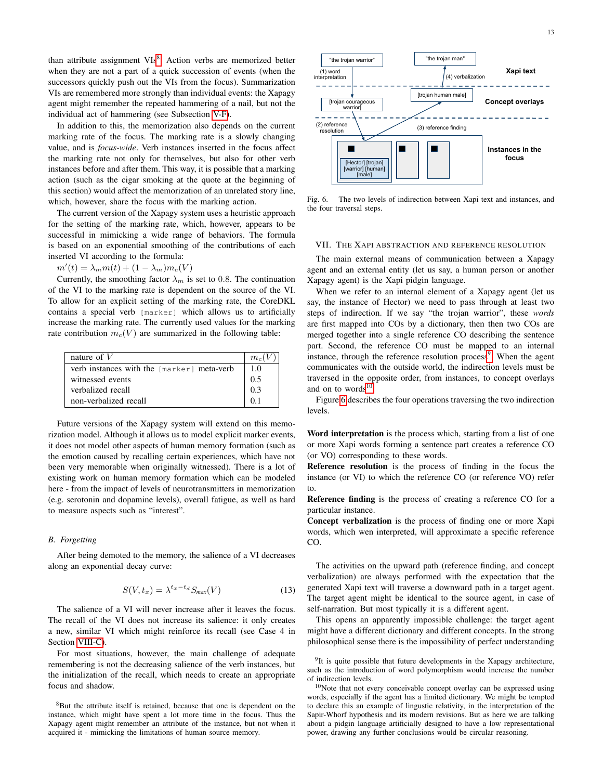than attribute assignment VIs<sup>[8](#page-12-2)</sup>. Action verbs are memorized better when they are not a part of a quick succession of events (when the successors quickly push out the VIs from the focus). Summarization VIs are remembered more strongly than individual events: the Xapagy agent might remember the repeated hammering of a nail, but not the individual act of hammering (see Subsection [V-F\)](#page-9-2).

In addition to this, the memorization also depends on the current marking rate of the focus. The marking rate is a slowly changing value, and is *focus-wide*. Verb instances inserted in the focus affect the marking rate not only for themselves, but also for other verb instances before and after them. This way, it is possible that a marking action (such as the cigar smoking at the quote at the beginning of this section) would affect the memorization of an unrelated story line, which, however, share the focus with the marking action.

The current version of the Xapagy system uses a heuristic approach for the setting of the marking rate, which, however, appears to be successful in mimicking a wide range of behaviors. The formula is based on an exponential smoothing of the contributions of each inserted VI according to the formula:

$$
m'(t) = \lambda_m m(t) + (1 - \lambda_m) m_c(V)
$$

Currently, the smoothing factor  $\lambda_m$  is set to 0.8. The continuation of the VI to the marking rate is dependent on the source of the VI. To allow for an explicit setting of the marking rate, the CoreDKL contains a special verb [marker] which allows us to artificially increase the marking rate. The currently used values for the marking rate contribution  $m_c(V)$  are summarized in the following table:

| nature of $V$                              | $m_c$ $\ell$ |
|--------------------------------------------|--------------|
| verb instances with the [marker] meta-verb | 1.0          |
| witnessed events                           | 0.5          |
| verbalized recall                          | 0.3          |
| non-verbalized recall                      |              |

Future versions of the Xapagy system will extend on this memorization model. Although it allows us to model explicit marker events, it does not model other aspects of human memory formation (such as the emotion caused by recalling certain experiences, which have not been very memorable when originally witnessed). There is a lot of existing work on human memory formation which can be modeled here - from the impact of levels of neurotransmitters in memorization (e.g. serotonin and dopamine levels), overall fatigue, as well as hard to measure aspects such as "interest".

## <span id="page-12-0"></span>*B. Forgetting*

After being demoted to the memory, the salience of a VI decreases along an exponential decay curve:

$$
S(V, t_x) = \lambda^{t_x - t_d} S_{\text{max}}(V) \tag{13}
$$

The salience of a VI will never increase after it leaves the focus. The recall of the VI does not increase its salience: it only creates a new, similar VI which might reinforce its recall (see Case 4 in Section [VIII-C\)](#page-15-1).

For most situations, however, the main challenge of adequate remembering is not the decreasing salience of the verb instances, but the initialization of the recall, which needs to create an appropriate focus and shadow.

<span id="page-12-2"></span><sup>8</sup>But the attribute itself is retained, because that one is dependent on the instance, which might have spent a lot more time in the focus. Thus the Xapagy agent might remember an attribute of the instance, but not when it acquired it - mimicking the limitations of human source memory.



<span id="page-12-5"></span>Fig. 6. The two levels of indirection between Xapi text and instances, and the four traversal steps.

## <span id="page-12-1"></span>VII. THE XAPI ABSTRACTION AND REFERENCE RESOLUTION

The main external means of communication between a Xapagy agent and an external entity (let us say, a human person or another Xapagy agent) is the Xapi pidgin language.

When we refer to an internal element of a Xapagy agent (let us say, the instance of Hector) we need to pass through at least two steps of indirection. If we say "the trojan warrior", these *words* are first mapped into COs by a dictionary, then then two COs are merged together into a single reference CO describing the sentence part. Second, the reference CO must be mapped to an internal instance, through the reference resolution process<sup>[9](#page-12-3)</sup>. When the agent communicates with the outside world, the indirection levels must be traversed in the opposite order, from instances, to concept overlays and on to words $10$ .

Figure [6](#page-12-5) describes the four operations traversing the two indirection levels.

Word interpretation is the process which, starting from a list of one or more Xapi words forming a sentence part creates a reference CO (or VO) corresponding to these words.

Reference resolution is the process of finding in the focus the instance (or VI) to which the reference CO (or reference VO) refer to.

Reference finding is the process of creating a reference CO for a particular instance.

Concept verbalization is the process of finding one or more Xapi words, which wen interpreted, will approximate a specific reference CO.

The activities on the upward path (reference finding, and concept verbalization) are always performed with the expectation that the generated Xapi text will traverse a downward path in a target agent. The target agent might be identical to the source agent, in case of self-narration. But most typically it is a different agent.

This opens an apparently impossible challenge: the target agent might have a different dictionary and different concepts. In the strong philosophical sense there is the impossibility of perfect understanding

<span id="page-12-3"></span><sup>&</sup>lt;sup>9</sup>It is quite possible that future developments in the Xapagy architecture, such as the introduction of word polymorphism would increase the number of indirection levels.

<span id="page-12-4"></span><sup>10</sup>Note that not every conceivable concept overlay can be expressed using words, especially if the agent has a limited dictionary. We might be tempted to declare this an example of lingustic relativity, in the interpretation of the Sapir-Whorf hypothesis and its modern revisions. But as here we are talking about a pidgin language artificially designed to have a low representational power, drawing any further conclusions would be circular reasoning.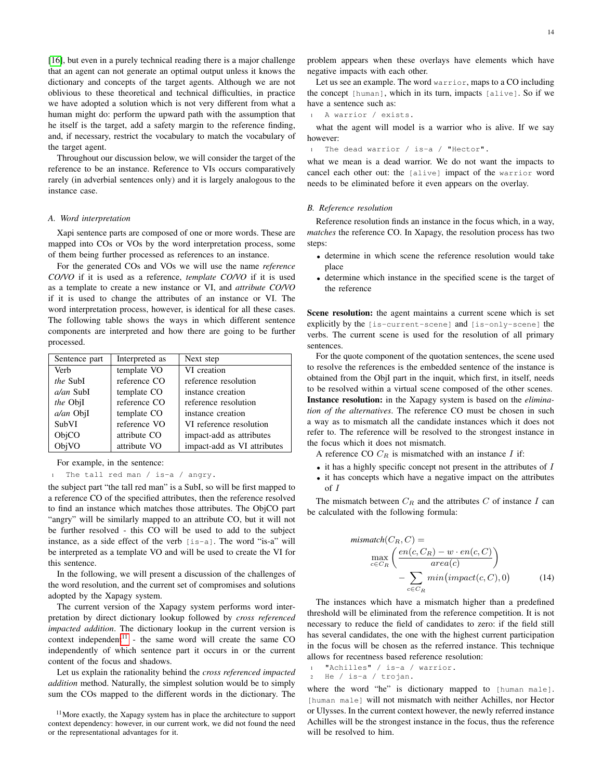[\[16\]](#page-26-7), but even in a purely technical reading there is a major challenge that an agent can not generate an optimal output unless it knows the dictionary and concepts of the target agents. Although we are not oblivious to these theoretical and technical difficulties, in practice we have adopted a solution which is not very different from what a human might do: perform the upward path with the assumption that he itself is the target, add a safety margin to the reference finding, and, if necessary, restrict the vocabulary to match the vocabulary of the target agent.

Throughout our discussion below, we will consider the target of the reference to be an instance. Reference to VIs occurs comparatively rarely (in adverbial sentences only) and it is largely analogous to the instance case.

#### <span id="page-13-0"></span>*A. Word interpretation*

Xapi sentence parts are composed of one or more words. These are mapped into COs or VOs by the word interpretation process, some of them being further processed as references to an instance.

For the generated COs and VOs we will use the name *reference CO/VO* if it is used as a reference, *template CO/VO* if it is used as a template to create a new instance or VI, and *attribute CO/VO* if it is used to change the attributes of an instance or VI. The word interpretation process, however, is identical for all these cases. The following table shows the ways in which different sentence components are interpreted and how there are going to be further processed.

| Sentence part | Interpreted as | Next step                   |
|---------------|----------------|-----------------------------|
| Verb          | template VO    | VI creation                 |
| the SubI      | reference CO   | reference resolution        |
| $a$ an SubI   | template CO    | instance creation           |
| the ObjI      | reference CO   | reference resolution        |
| a/an ObjI     | template CO    | instance creation           |
| SubVI         | reference VO   | VI reference resolution     |
| ObjCO         | attribute CO   | impact-add as attributes    |
| ObjVO         | attribute VO   | impact-add as VI attributes |

For example, in the sentence:

<sup>1</sup> The tall red man / is-a / angry.

the subject part "the tall red man" is a SubI, so will be first mapped to a reference CO of the specified attributes, then the reference resolved to find an instance which matches those attributes. The ObjCO part "angry" will be similarly mapped to an attribute CO, but it will not be further resolved - this CO will be used to add to the subject instance, as a side effect of the verb [is-a]. The word "is-a" will be interpreted as a template VO and will be used to create the VI for this sentence.

In the following, we will present a discussion of the challenges of the word resolution, and the current set of compromises and solutions adopted by the Xapagy system.

The current version of the Xapagy system performs word interpretation by direct dictionary lookup followed by *cross referenced impacted addition*. The dictionary lookup in the current version is context independent $11$  - the same word will create the same CO independently of which sentence part it occurs in or the current content of the focus and shadows.

Let us explain the rationality behind the *cross referenced impacted addition* method. Naturally, the simplest solution would be to simply sum the COs mapped to the different words in the dictionary. The

<span id="page-13-2"></span> $11$ More exactly, the Xapagy system has in place the architecture to support context dependency: however, in our current work, we did not found the need or the representational advantages for it.

problem appears when these overlays have elements which have negative impacts with each other.

Let us see an example. The word warrior, maps to a CO including the concept [human], which in its turn, impacts [alive]. So if we have a sentence such as:

<sup>1</sup> A warrior / exists.

what the agent will model is a warrior who is alive. If we say however:

<sup>1</sup> The dead warrior / is-a / "Hector".

what we mean is a dead warrior. We do not want the impacts to cancel each other out: the [alive] impact of the warrior word needs to be eliminated before it even appears on the overlay.

## <span id="page-13-1"></span>*B. Reference resolution*

Reference resolution finds an instance in the focus which, in a way, *matches* the reference CO. In Xapagy, the resolution process has two steps:

- determine in which scene the reference resolution would take place
- determine which instance in the specified scene is the target of the reference

Scene resolution: the agent maintains a current scene which is set explicitly by the [is-current-scene] and [is-only-scene] the verbs. The current scene is used for the resolution of all primary sentences.

For the quote component of the quotation sentences, the scene used to resolve the references is the embedded sentence of the instance is obtained from the ObjI part in the inquit, which first, in itself, needs to be resolved within a virtual scene composed of the other scenes. Instance resolution: in the Xapagy system is based on the *elimination of the alternatives*. The reference CO must be chosen in such a way as to mismatch all the candidate instances which it does not refer to. The reference will be resolved to the strongest instance in the focus which it does not mismatch.

- A reference CO  $C_R$  is mismatched with an instance  $I$  if:
- $\bullet$  it has a highly specific concept not present in the attributes of  $I$
- it has concepts which have a negative impact on the attributes of I

The mismatch between  $C_R$  and the attributes C of instance I can be calculated with the following formula:

$$
\begin{aligned}\n\text{minmatch}(C_R, C) &= \\
\max_{c \in C_R} \left( \frac{en(c, C_R) - w \cdot en(c, C)}{area(c)} \right) \\
&\quad - \sum_{c \in C_R} \min(\text{impact}(c, C), 0)\n\end{aligned} \tag{14}
$$

The instances which have a mismatch higher than a predefined threshold will be eliminated from the reference competition. It is not necessary to reduce the field of candidates to zero: if the field still has several candidates, the one with the highest current participation in the focus will be chosen as the referred instance. This technique allows for recentness based reference resolution:

<sup>1</sup> "Achilles" / is-a / warrior. <sup>2</sup> He / is-a / trojan.

where the word "he" is dictionary mapped to [human male]. [human male] will not mismatch with neither Achilles, nor Hector or Ulysses. In the current context however, the newly referred instance Achilles will be the strongest instance in the focus, thus the reference will be resolved to him.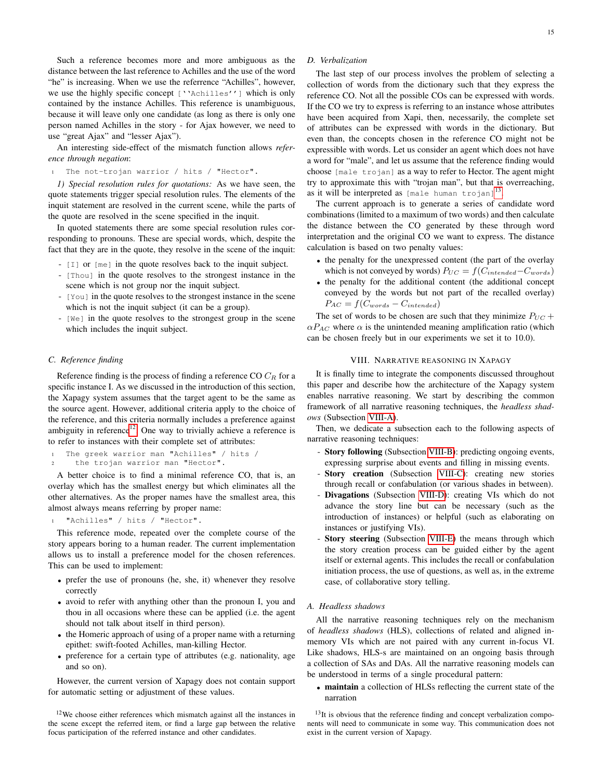Such a reference becomes more and more ambiguous as the distance between the last reference to Achilles and the use of the word "he" is increasing. When we use the referrence "Achilles", however, we use the highly specific concept [''Achilles''] which is only contained by the instance Achilles. This reference is unambiguous, because it will leave only one candidate (as long as there is only one person named Achilles in the story - for Ajax however, we need to use "great Ajax" and "lesser Ajax").

An interesting side-effect of the mismatch function allows *reference through negation*:

The not-trojan warrior / hits / "Hector".

<span id="page-14-0"></span>*1) Special resolution rules for quotations:* As we have seen, the quote statements trigger special resolution rules. The elements of the inquit statement are resolved in the current scene, while the parts of the quote are resolved in the scene specified in the inquit.

In quoted statements there are some special resolution rules corresponding to pronouns. These are special words, which, despite the fact that they are in the quote, they resolve in the scene of the inquit:

- [I] or [me] in the quote resolves back to the inquit subject.
- [Thou] in the quote resolves to the strongest instance in the scene which is not group nor the inquit subject.
- [You] in the quote resolves to the strongest instance in the scene which is not the inquit subject (it can be a group).
- [We] in the quote resolves to the strongest group in the scene which includes the inquit subject.

#### <span id="page-14-1"></span>*C. Reference finding*

Reference finding is the process of finding a reference CO  $C_R$  for a specific instance I. As we discussed in the introduction of this section, the Xapagy system assumes that the target agent to be the same as the source agent. However, additional criteria apply to the choice of the reference, and this criteria normally includes a preference against ambiguity in reference<sup>[12](#page-14-5)</sup>. One way to trivially achieve a reference is to refer to instances with their complete set of attributes:

```
The greek warrior man "Achilles" / hits /
```

```
2 the trojan warrior man "Hector".
```
A better choice is to find a minimal reference CO, that is, an overlay which has the smallest energy but which eliminates all the other alternatives. As the proper names have the smallest area, this almost always means referring by proper name:

"Achilles" / hits / "Hector".

This reference mode, repeated over the complete course of the story appears boring to a human reader. The current implementation allows us to install a preference model for the chosen references. This can be used to implement:

- prefer the use of pronouns (he, she, it) whenever they resolve correctly
- avoid to refer with anything other than the pronoun I, you and thou in all occasions where these can be applied (i.e. the agent should not talk about itself in third person).
- the Homeric approach of using of a proper name with a returning epithet: swift-footed Achilles, man-killing Hector.
- preference for a certain type of attributes (e.g. nationality, age and so on).

However, the current version of Xapagy does not contain support for automatic setting or adjustment of these values.

## <span id="page-14-2"></span>*D. Verbalization*

The last step of our process involves the problem of selecting a collection of words from the dictionary such that they express the reference CO. Not all the possible COs can be expressed with words. If the CO we try to express is referring to an instance whose attributes have been acquired from Xapi, then, necessarily, the complete set of attributes can be expressed with words in the dictionary. But even than, the concepts chosen in the reference CO might not be expressible with words. Let us consider an agent which does not have a word for "male", and let us assume that the reference finding would choose [male trojan] as a way to refer to Hector. The agent might try to approximate this with "trojan man", but that is overreaching, as it will be interpreted as  $[male human trojan]^{13}$  $[male human trojan]^{13}$  $[male human trojan]^{13}$ .

The current approach is to generate a series of candidate word combinations (limited to a maximum of two words) and then calculate the distance between the CO generated by these through word interpretation and the original CO we want to express. The distance calculation is based on two penalty values:

- the penalty for the unexpressed content (the part of the overlay which is not conveyed by words)  $P_{UC} = f(C_{intended} - C_{words})$
- the penalty for the additional content (the additional concept conveyed by the words but not part of the recalled overlay)  $P_{AC} = f(C_{words} - C_{intended})$

The set of words to be chosen are such that they minimize  $P_{UC}$  +  $\alpha P_{AC}$  where  $\alpha$  is the unintended meaning amplification ratio (which can be chosen freely but in our experiments we set it to 10.0).

## VIII. NARRATIVE REASONING IN XAPAGY

<span id="page-14-3"></span>It is finally time to integrate the components discussed throughout this paper and describe how the architecture of the Xapagy system enables narrative reasoning. We start by describing the common framework of all narrative reasoning techniques, the *headless shadows* (Subsection [VIII-A\)](#page-14-4).

Then, we dedicate a subsection each to the following aspects of narrative reasoning techniques:

- Story following (Subsection [VIII-B\)](#page-15-0): predicting ongoing events, expressing surprise about events and filling in missing events.
- Story creation (Subsection [VIII-C\)](#page-15-1): creating new stories through recall or confabulation (or various shades in between).
- Divagations (Subsection [VIII-D\)](#page-20-2): creating VIs which do not advance the story line but can be necessary (such as the introduction of instances) or helpful (such as elaborating on instances or justifying VIs).
- Story steering (Subsection [VIII-E\)](#page-21-2) the means through which the story creation process can be guided either by the agent itself or external agents. This includes the recall or confabulation initiation process, the use of questions, as well as, in the extreme case, of collaborative story telling.

## <span id="page-14-4"></span>*A. Headless shadows*

All the narrative reasoning techniques rely on the mechanism of *headless shadows* (HLS), collections of related and aligned inmemory VIs which are not paired with any current in-focus VI. Like shadows, HLS-s are maintained on an ongoing basis through a collection of SAs and DAs. All the narrative reasoning models can be understood in terms of a single procedural pattern:

• maintain a collection of HLSs reflecting the current state of the narration

<span id="page-14-5"></span><sup>&</sup>lt;sup>12</sup>We choose either references which mismatch against all the instances in the scene except the referred item, or find a large gap between the relative focus participation of the referred instance and other candidates.

<span id="page-14-6"></span> $13$ It is obvious that the reference finding and concept verbalization components will need to communicate in some way. This communication does not exist in the current version of Xapagy.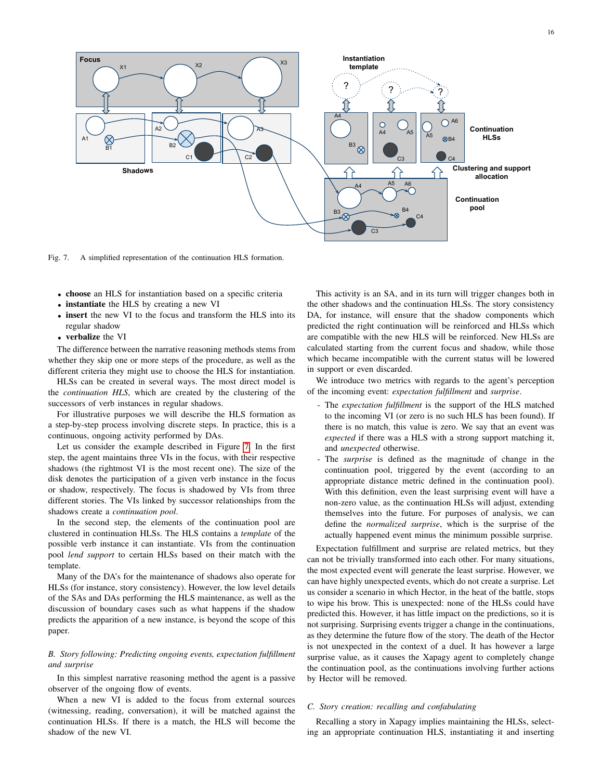

<span id="page-15-2"></span>Fig. 7. A simplified representation of the continuation HLS formation.

- choose an HLS for instantiation based on a specific criteria
- instantiate the HLS by creating a new VI
- insert the new VI to the focus and transform the HLS into its regular shadow
- verbalize the VI

The difference between the narrative reasoning methods stems from whether they skip one or more steps of the procedure, as well as the different criteria they might use to choose the HLS for instantiation.

HLSs can be created in several ways. The most direct model is the *continuation HLS*, which are created by the clustering of the successors of verb instances in regular shadows.

For illustrative purposes we will describe the HLS formation as a step-by-step process involving discrete steps. In practice, this is a continuous, ongoing activity performed by DAs.

Let us consider the example described in Figure [7.](#page-15-2) In the first step, the agent maintains three VIs in the focus, with their respective shadows (the rightmost VI is the most recent one). The size of the disk denotes the participation of a given verb instance in the focus or shadow, respectively. The focus is shadowed by VIs from three different stories. The VIs linked by successor relationships from the shadows create a *continuation pool*.

In the second step, the elements of the continuation pool are clustered in continuation HLSs. The HLS contains a *template* of the possible verb instance it can instantiate. VIs from the continuation pool *lend support* to certain HLSs based on their match with the template.

Many of the DA's for the maintenance of shadows also operate for HLSs (for instance, story consistency). However, the low level details of the SAs and DAs performing the HLS maintenance, as well as the discussion of boundary cases such as what happens if the shadow predicts the apparition of a new instance, is beyond the scope of this paper.

# <span id="page-15-0"></span>*B. Story following: Predicting ongoing events, expectation fulfillment and surprise*

In this simplest narrative reasoning method the agent is a passive observer of the ongoing flow of events.

When a new VI is added to the focus from external sources (witnessing, reading, conversation), it will be matched against the continuation HLSs. If there is a match, the HLS will become the shadow of the new VI.

This activity is an SA, and in its turn will trigger changes both in the other shadows and the continuation HLSs. The story consistency DA, for instance, will ensure that the shadow components which predicted the right continuation will be reinforced and HLSs which are compatible with the new HLS will be reinforced. New HLSs are calculated starting from the current focus and shadow, while those which became incompatible with the current status will be lowered in support or even discarded.

We introduce two metrics with regards to the agent's perception of the incoming event: *expectation fulfillment* and *surprise*.

- The *expectation fulfillment* is the support of the HLS matched to the incoming VI (or zero is no such HLS has been found). If there is no match, this value is zero. We say that an event was *expected* if there was a HLS with a strong support matching it, and *unexpected* otherwise.
- The *surprise* is defined as the magnitude of change in the continuation pool, triggered by the event (according to an appropriate distance metric defined in the continuation pool). With this definition, even the least surprising event will have a non-zero value, as the continuation HLSs will adjust, extending themselves into the future. For purposes of analysis, we can define the *normalized surprise*, which is the surprise of the actually happened event minus the minimum possible surprise.

Expectation fulfillment and surprise are related metrics, but they can not be trivially transformed into each other. For many situations, the most expected event will generate the least surprise. However, we can have highly unexpected events, which do not create a surprise. Let us consider a scenario in which Hector, in the heat of the battle, stops to wipe his brow. This is unexpected: none of the HLSs could have predicted this. However, it has little impact on the predictions, so it is not surprising. Surprising events trigger a change in the continuations, as they determine the future flow of the story. The death of the Hector is not unexpected in the context of a duel. It has however a large surprise value, as it causes the Xapagy agent to completely change the continuation pool, as the continuations involving further actions by Hector will be removed.

## <span id="page-15-1"></span>*C. Story creation: recalling and confabulating*

Recalling a story in Xapagy implies maintaining the HLSs, selecting an appropriate continuation HLS, instantiating it and inserting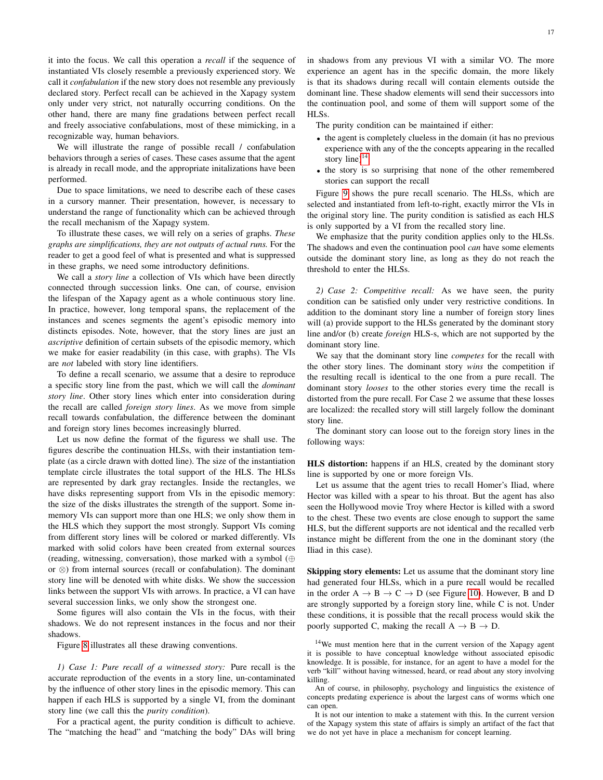it into the focus. We call this operation a *recall* if the sequence of instantiated VIs closely resemble a previously experienced story. We call it *confabulation* if the new story does not resemble any previously declared story. Perfect recall can be achieved in the Xapagy system only under very strict, not naturally occurring conditions. On the other hand, there are many fine gradations between perfect recall and freely associative confabulations, most of these mimicking, in a recognizable way, human behaviors.

We will illustrate the range of possible recall / confabulation behaviors through a series of cases. These cases assume that the agent is already in recall mode, and the appropriate initalizations have been performed.

Due to space limitations, we need to describe each of these cases in a cursory manner. Their presentation, however, is necessary to understand the range of functionality which can be achieved through the recall mechanism of the Xapagy system.

To illustrate these cases, we will rely on a series of graphs. *These graphs are simplifications, they are not outputs of actual runs.* For the reader to get a good feel of what is presented and what is suppressed in these graphs, we need some introductory definitions.

We call a *story line* a collection of VIs which have been directly connected through succession links. One can, of course, envision the lifespan of the Xapagy agent as a whole continuous story line. In practice, however, long temporal spans, the replacement of the instances and scenes segments the agent's episodic memory into distincts episodes. Note, however, that the story lines are just an *ascriptive* definition of certain subsets of the episodic memory, which we make for easier readability (in this case, with graphs). The VIs are *not* labeled with story line identifiers.

To define a recall scenario, we assume that a desire to reproduce a specific story line from the past, which we will call the *dominant story line*. Other story lines which enter into consideration during the recall are called *foreign story lines*. As we move from simple recall towards confabulation, the difference between the dominant and foreign story lines becomes increasingly blurred.

Let us now define the format of the figuress we shall use. The figures describe the continuation HLSs, with their instantiation template (as a circle drawn with dotted line). The size of the instantiation template circle illustrates the total support of the HLS. The HLSs are represented by dark gray rectangles. Inside the rectangles, we have disks representing support from VIs in the episodic memory: the size of the disks illustrates the strength of the support. Some inmemory VIs can support more than one HLS; we only show them in the HLS which they support the most strongly. Support VIs coming from different story lines will be colored or marked differently. VIs marked with solid colors have been created from external sources (reading, witnessing, conversation), those marked with a symbol (⊕ or ⊗) from internal sources (recall or confabulation). The dominant story line will be denoted with white disks. We show the succession links between the support VIs with arrows. In practice, a VI can have several succession links, we only show the strongest one.

Some figures will also contain the VIs in the focus, with their shadows. We do not represent instances in the focus and nor their shadows.

Figure [8](#page-17-2) illustrates all these drawing conventions.

*1) Case 1: Pure recall of a witnessed story:* Pure recall is the accurate reproduction of the events in a story line, un-contaminated by the influence of other story lines in the episodic memory. This can happen if each HLS is supported by a single VI, from the dominant story line (we call this the *purity condition*).

For a practical agent, the purity condition is difficult to achieve. The "matching the head" and "matching the body" DAs will bring in shadows from any previous VI with a similar VO. The more experience an agent has in the specific domain, the more likely is that its shadows during recall will contain elements outside the dominant line. These shadow elements will send their successors into the continuation pool, and some of them will support some of the HLSs.

The purity condition can be maintained if either:

- the agent is completely clueless in the domain (it has no previous experience with any of the the concepts appearing in the recalled story line) $14$ .
- the story is so surprising that none of the other remembered stories can support the recall

Figure [9](#page-17-0) shows the pure recall scenario. The HLSs, which are selected and instantiated from left-to-right, exactly mirror the VIs in the original story line. The purity condition is satisfied as each HLS is only supported by a VI from the recalled story line.

We emphasize that the purity condition applies only to the HLSs. The shadows and even the continuation pool *can* have some elements outside the dominant story line, as long as they do not reach the threshold to enter the HLSs.

<span id="page-16-0"></span>*2) Case 2: Competitive recall:* As we have seen, the purity condition can be satisfied only under very restrictive conditions. In addition to the dominant story line a number of foreign story lines will (a) provide support to the HLSs generated by the dominant story line and/or (b) create *foreign* HLS-s, which are not supported by the dominant story line.

We say that the dominant story line *competes* for the recall with the other story lines. The dominant story *wins* the competition if the resulting recall is identical to the one from a pure recall. The dominant story *looses* to the other stories every time the recall is distorted from the pure recall. For Case 2 we assume that these losses are localized: the recalled story will still largely follow the dominant story line.

The dominant story can loose out to the foreign story lines in the following ways:

HLS distortion: happens if an HLS, created by the dominant story line is supported by one or more foreign VIs.

Let us assume that the agent tries to recall Homer's Iliad, where Hector was killed with a spear to his throat. But the agent has also seen the Hollywood movie Troy where Hector is killed with a sword to the chest. These two events are close enough to support the same HLS, but the different supports are not identical and the recalled verb instance might be different from the one in the dominant story (the Iliad in this case).

Skipping story elements: Let us assume that the dominant story line had generated four HLSs, which in a pure recall would be recalled in the order  $A \rightarrow B \rightarrow C \rightarrow D$  (see Figure [10\)](#page-17-3). However, B and D are strongly supported by a foreign story line, while C is not. Under these conditions, it is possible that the recall process would skik the poorly supported C, making the recall  $A \rightarrow B \rightarrow D$ .

<span id="page-16-1"></span><sup>&</sup>lt;sup>14</sup>We must mention here that in the current version of the Xapagy agent it is possible to have conceptual knowledge without associated episodic knowledge. It is possible, for instance, for an agent to have a model for the verb "kill" without having witnessed, heard, or read about any story involving killing.

An of course, in philosophy, psychology and linguistics the existence of concepts predating experience is about the largest cans of worms which one can open.

It is not our intention to make a statement with this. In the current version of the Xapagy system this state of affairs is simply an artifact of the fact that we do not yet have in place a mechanism for concept learning.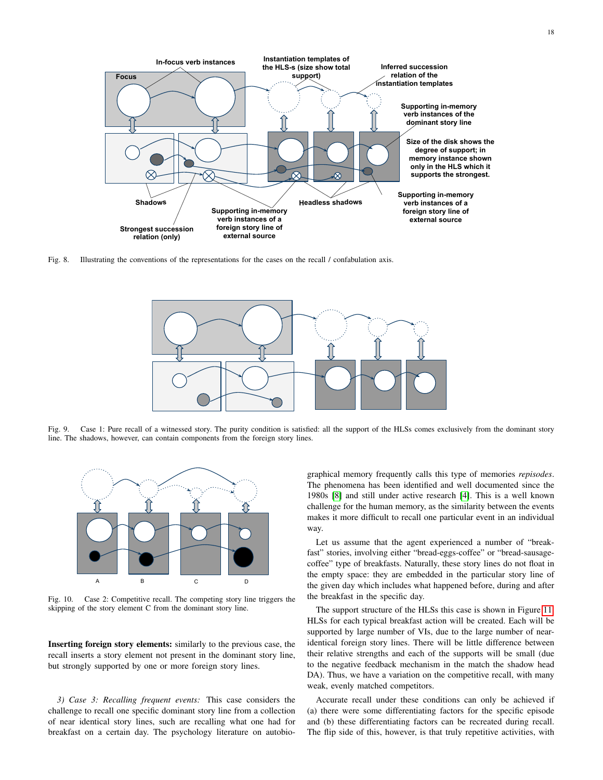

<span id="page-17-2"></span>Fig. 8. Illustrating the conventions of the representations for the cases on the recall / confabulation axis.



<span id="page-17-0"></span>Fig. 9. Case 1: Pure recall of a witnessed story. The purity condition is satisfied: all the support of the HLSs comes exclusively from the dominant story line. The shadows, however, can contain components from the foreign story lines.



<span id="page-17-3"></span>Fig. 10. Case 2: Competitive recall. The competing story line triggers the skipping of the story element C from the dominant story line.

Inserting foreign story elements: similarly to the previous case, the recall inserts a story element not present in the dominant story line, but strongly supported by one or more foreign story lines.

<span id="page-17-1"></span>*3) Case 3: Recalling frequent events:* This case considers the challenge to recall one specific dominant story line from a collection of near identical story lines, such are recalling what one had for breakfast on a certain day. The psychology literature on autobio-

graphical memory frequently calls this type of memories *repisodes*. The phenomena has been identified and well documented since the 1980s [\[8\]](#page-25-8) and still under active research [\[4\]](#page-25-9). This is a well known challenge for the human memory, as the similarity between the events makes it more difficult to recall one particular event in an individual way.

Let us assume that the agent experienced a number of "breakfast" stories, involving either "bread-eggs-coffee" or "bread-sausagecoffee" type of breakfasts. Naturally, these story lines do not float in the empty space: they are embedded in the particular story line of the given day which includes what happened before, during and after the breakfast in the specific day.

The support structure of the HLSs this case is shown in Figure [11.](#page-18-2) HLSs for each typical breakfast action will be created. Each will be supported by large number of VIs, due to the large number of nearidentical foreign story lines. There will be little difference between their relative strengths and each of the supports will be small (due to the negative feedback mechanism in the match the shadow head DA). Thus, we have a variation on the competitive recall, with many weak, evenly matched competitors.

Accurate recall under these conditions can only be achieved if (a) there were some differentiating factors for the specific episode and (b) these differentiating factors can be recreated during recall. The flip side of this, however, is that truly repetitive activities, with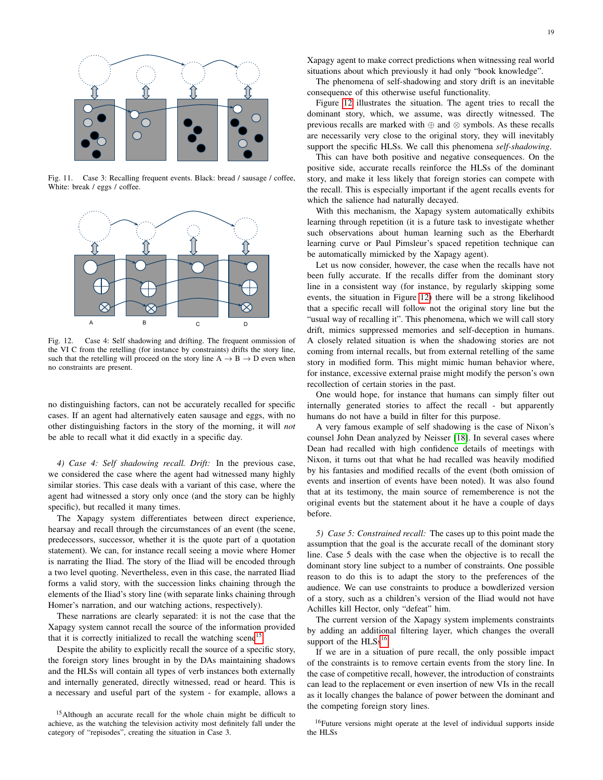

<span id="page-18-2"></span>Fig. 11. Case 3: Recalling frequent events. Black: bread / sausage / coffee, White: break / eggs / coffee.



<span id="page-18-0"></span>Fig. 12. Case 4: Self shadowing and drifting. The frequent ommission of the VI C from the retelling (for instance by constraints) drifts the story line, such that the retelling will proceed on the story line  $A \rightarrow B \rightarrow D$  even when no constraints are present.

no distinguishing factors, can not be accurately recalled for specific cases. If an agent had alternatively eaten sausage and eggs, with no other distinguishing factors in the story of the morning, it will *not* be able to recall what it did exactly in a specific day.

*4) Case 4: Self shadowing recall. Drift:* In the previous case, we considered the case where the agent had witnessed many highly similar stories. This case deals with a variant of this case, where the agent had witnessed a story only once (and the story can be highly specific), but recalled it many times.

The Xapagy system differentiates between direct experience, hearsay and recall through the circumstances of an event (the scene, predecessors, successor, whether it is the quote part of a quotation statement). We can, for instance recall seeing a movie where Homer is narrating the Iliad. The story of the Iliad will be encoded through a two level quoting. Nevertheless, even in this case, the narrated Iliad forms a valid story, with the succession links chaining through the elements of the Iliad's story line (with separate links chaining through Homer's narration, and our watching actions, respectively).

These narrations are clearly separated: it is not the case that the Xapagy system cannot recall the source of the information provided that it is correctly initialized to recall the watching scene<sup>[15](#page-18-3)</sup>.

Despite the ability to explicitly recall the source of a specific story, the foreign story lines brought in by the DAs maintaining shadows and the HLSs will contain all types of verb instances both externally and internally generated, directly witnessed, read or heard. This is a necessary and useful part of the system - for example, allows a Xapagy agent to make correct predictions when witnessing real world situations about which previously it had only "book knowledge".

The phenomena of self-shadowing and story drift is an inevitable consequence of this otherwise useful functionality.

Figure [12](#page-18-0) illustrates the situation. The agent tries to recall the dominant story, which, we assume, was directly witnessed. The previous recalls are marked with ⊕ and ⊗ symbols. As these recalls are necessarily very close to the original story, they will inevitably support the specific HLSs. We call this phenomena *self-shadowing*.

This can have both positive and negative consequences. On the positive side, accurate recalls reinforce the HLSs of the dominant story, and make it less likely that foreign stories can compete with the recall. This is especially important if the agent recalls events for which the salience had naturally decayed.

With this mechanism, the Xapagy system automatically exhibits learning through repetition (it is a future task to investigate whether such observations about human learning such as the Eberhardt learning curve or Paul Pimsleur's spaced repetition technique can be automatically mimicked by the Xapagy agent).

Let us now consider, however, the case when the recalls have not been fully accurate. If the recalls differ from the dominant story line in a consistent way (for instance, by regularly skipping some events, the situation in Figure [12\)](#page-18-0) there will be a strong likelihood that a specific recall will follow not the original story line but the "usual way of recalling it". This phenomena, which we will call story drift, mimics suppressed memories and self-deception in humans. A closely related situation is when the shadowing stories are not coming from internal recalls, but from external retelling of the same story in modified form. This might mimic human behavior where, for instance, excessive external praise might modify the person's own recollection of certain stories in the past.

One would hope, for instance that humans can simply filter out internally generated stories to affect the recall - but apparently humans do not have a build in filter for this purpose.

A very famous example of self shadowing is the case of Nixon's counsel John Dean analyzed by Neisser [\[18\]](#page-26-8). In several cases where Dean had recalled with high confidence details of meetings with Nixon, it turns out that what he had recalled was heavily modified by his fantasies and modified recalls of the event (both omission of events and insertion of events have been noted). It was also found that at its testimony, the main source of rememberence is not the original events but the statement about it he have a couple of days before.

<span id="page-18-1"></span>*5) Case 5: Constrained recall:* The cases up to this point made the assumption that the goal is the accurate recall of the dominant story line. Case 5 deals with the case when the objective is to recall the dominant story line subject to a number of constraints. One possible reason to do this is to adapt the story to the preferences of the audience. We can use constraints to produce a bowdlerized version of a story, such as a children's version of the Iliad would not have Achilles kill Hector, only "defeat" him.

The current version of the Xapagy system implements constraints by adding an additional filtering layer, which changes the overall support of the  $HLSs<sup>16</sup>$  $HLSs<sup>16</sup>$  $HLSs<sup>16</sup>$ .

If we are in a situation of pure recall, the only possible impact of the constraints is to remove certain events from the story line. In the case of competitive recall, however, the introduction of constraints can lead to the replacement or even insertion of new VIs in the recall as it locally changes the balance of power between the dominant and the competing foreign story lines.

<span id="page-18-4"></span><sup>16</sup>Future versions might operate at the level of individual supports inside the HLSs

<span id="page-18-3"></span><sup>&</sup>lt;sup>15</sup>Although an accurate recall for the whole chain might be difficult to achieve, as the watching the television activity most definitely fall under the category of "repisodes", creating the situation in Case 3.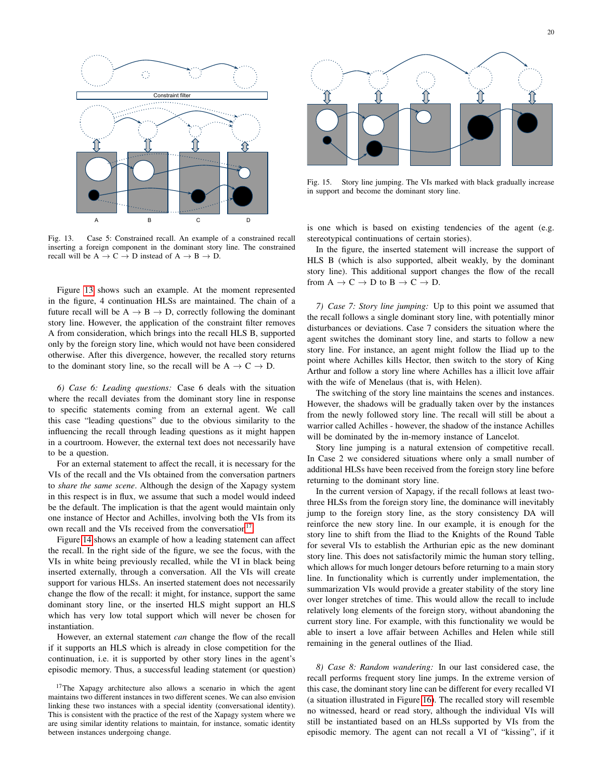

<span id="page-19-1"></span>Fig. 13. Case 5: Constrained recall. An example of a constrained recall inserting a foreign component in the dominant story line. The constrained recall will be  $A \rightarrow C \rightarrow D$  instead of  $A \rightarrow B \rightarrow D$ .

Figure [13](#page-19-1) shows such an example. At the moment represented in the figure, 4 continuation HLSs are maintained. The chain of a future recall will be  $A \rightarrow B \rightarrow D$ , correctly following the dominant story line. However, the application of the constraint filter removes A from consideration, which brings into the recall HLS B, supported only by the foreign story line, which would not have been considered otherwise. After this divergence, however, the recalled story returns to the dominant story line, so the recall will be  $A \rightarrow C \rightarrow D$ .

*6) Case 6: Leading questions:* Case 6 deals with the situation where the recall deviates from the dominant story line in response to specific statements coming from an external agent. We call this case "leading questions" due to the obvious similarity to the influencing the recall through leading questions as it might happen in a courtroom. However, the external text does not necessarily have to be a question.

For an external statement to affect the recall, it is necessary for the VIs of the recall and the VIs obtained from the conversation partners to *share the same scene*. Although the design of the Xapagy system in this respect is in flux, we assume that such a model would indeed be the default. The implication is that the agent would maintain only one instance of Hector and Achilles, involving both the VIs from its own recall and the VIs received from the conversation<sup>[17](#page-19-2)</sup>.

Figure [14](#page-20-0) shows an example of how a leading statement can affect the recall. In the right side of the figure, we see the focus, with the VIs in white being previously recalled, while the VI in black being inserted externally, through a conversation. All the VIs will create support for various HLSs. An inserted statement does not necessarily change the flow of the recall: it might, for instance, support the same dominant story line, or the inserted HLS might support an HLS which has very low total support which will never be chosen for instantiation.

However, an external statement *can* change the flow of the recall if it supports an HLS which is already in close competition for the continuation, i.e. it is supported by other story lines in the agent's episodic memory. Thus, a successful leading statement (or question)

<span id="page-19-2"></span><sup>17</sup>The Xapagy architecture also allows a scenario in which the agent maintains two different instances in two different scenes. We can also envision linking these two instances with a special identity (conversational identity). This is consistent with the practice of the rest of the Xapagy system where we are using similar identity relations to maintain, for instance, somatic identity between instances undergoing change.



Fig. 15. Story line jumping. The VIs marked with black gradually increase in support and become the dominant story line.

is one which is based on existing tendencies of the agent (e.g. stereotypical continuations of certain stories).

In the figure, the inserted statement will increase the support of HLS B (which is also supported, albeit weakly, by the dominant story line). This additional support changes the flow of the recall from  $A \to C \to D$  to  $B \to C \to D$ .

<span id="page-19-0"></span>*7) Case 7: Story line jumping:* Up to this point we assumed that the recall follows a single dominant story line, with potentially minor disturbances or deviations. Case 7 considers the situation where the agent switches the dominant story line, and starts to follow a new story line. For instance, an agent might follow the Iliad up to the point where Achilles kills Hector, then switch to the story of King Arthur and follow a story line where Achilles has a illicit love affair with the wife of Menelaus (that is, with Helen).

The switching of the story line maintains the scenes and instances. However, the shadows will be gradually taken over by the instances from the newly followed story line. The recall will still be about a warrior called Achilles - however, the shadow of the instance Achilles will be dominated by the in-memory instance of Lancelot.

Story line jumping is a natural extension of competitive recall. In Case 2 we considered situations where only a small number of additional HLSs have been received from the foreign story line before returning to the dominant story line.

In the current version of Xapagy, if the recall follows at least twothree HLSs from the foreign story line, the dominance will inevitably jump to the foreign story line, as the story consistency DA will reinforce the new story line. In our example, it is enough for the story line to shift from the Iliad to the Knights of the Round Table for several VIs to establish the Arthurian epic as the new dominant story line. This does not satisfactorily mimic the human story telling, which allows for much longer detours before returning to a main story line. In functionality which is currently under implementation, the summarization VIs would provide a greater stability of the story line over longer stretches of time. This would allow the recall to include relatively long elements of the foreign story, without abandoning the current story line. For example, with this functionality we would be able to insert a love affair between Achilles and Helen while still remaining in the general outlines of the Iliad.

*8) Case 8: Random wandering:* In our last considered case, the recall performs frequent story line jumps. In the extreme version of this case, the dominant story line can be different for every recalled VI (a situation illustrated in Figure [16\)](#page-20-1). The recalled story will resemble no witnessed, heard or read story, although the individual VIs will still be instantiated based on an HLSs supported by VIs from the episodic memory. The agent can not recall a VI of "kissing", if it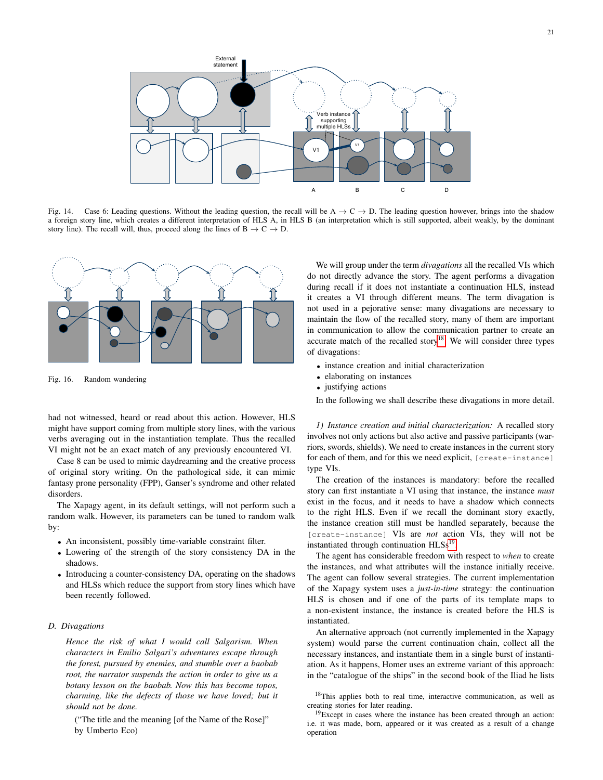

<span id="page-20-0"></span>Fig. 14. Case 6: Leading questions. Without the leading question, the recall will be  $A \rightarrow C \rightarrow D$ . The leading question however, brings into the shadow a foreign story line, which creates a different interpretation of HLS A, in HLS B (an interpretation which is still supported, albeit weakly, by the dominant story line). The recall will, thus, proceed along the lines of  $B \to C \to D$ .



<span id="page-20-1"></span>Fig. 16. Random wandering

had not witnessed, heard or read about this action. However, HLS might have support coming from multiple story lines, with the various verbs averaging out in the instantiation template. Thus the recalled VI might not be an exact match of any previously encountered VI.

Case 8 can be used to mimic daydreaming and the creative process of original story writing. On the pathological side, it can mimic fantasy prone personality (FPP), Ganser's syndrome and other related disorders.

The Xapagy agent, in its default settings, will not perform such a random walk. However, its parameters can be tuned to random walk by:

- An inconsistent, possibly time-variable constraint filter.
- Lowering of the strength of the story consistency DA in the shadows.
- Introducing a counter-consistency DA, operating on the shadows and HLSs which reduce the support from story lines which have been recently followed.

#### <span id="page-20-2"></span>*D. Divagations*

*Hence the risk of what I would call Salgarism. When characters in Emilio Salgari's adventures escape through the forest, pursued by enemies, and stumble over a baobab root, the narrator suspends the action in order to give us a botany lesson on the baobab. Now this has become topos, charming, like the defects of those we have loved; but it should not be done.*

("The title and the meaning [of the Name of the Rose]" by Umberto Eco)

We will group under the term *divagations* all the recalled VIs which do not directly advance the story. The agent performs a divagation during recall if it does not instantiate a continuation HLS, instead it creates a VI through different means. The term divagation is not used in a pejorative sense: many divagations are necessary to maintain the flow of the recalled story, many of them are important in communication to allow the communication partner to create an accurate match of the recalled story<sup>[18](#page-20-4)</sup>. We will consider three types of divagations:

- instance creation and initial characterization
- elaborating on instances
- justifying actions

In the following we shall describe these divagations in more detail.

<span id="page-20-3"></span>*1) Instance creation and initial characterization:* A recalled story involves not only actions but also active and passive participants (warriors, swords, shields). We need to create instances in the current story for each of them, and for this we need explicit, [create-instance] type VIs.

The creation of the instances is mandatory: before the recalled story can first instantiate a VI using that instance, the instance *must* exist in the focus, and it needs to have a shadow which connects to the right HLS. Even if we recall the dominant story exactly, the instance creation still must be handled separately, because the [create-instance] VIs are *not* action VIs, they will not be instantiated through continuation  $HLSs<sup>19</sup>$  $HLSs<sup>19</sup>$  $HLSs<sup>19</sup>$ .

The agent has considerable freedom with respect to *when* to create the instances, and what attributes will the instance initially receive. The agent can follow several strategies. The current implementation of the Xapagy system uses a *just-in-time* strategy: the continuation HLS is chosen and if one of the parts of its template maps to a non-existent instance, the instance is created before the HLS is instantiated.

An alternative approach (not currently implemented in the Xapagy system) would parse the current continuation chain, collect all the necessary instances, and instantiate them in a single burst of instantiation. As it happens, Homer uses an extreme variant of this approach: in the "catalogue of the ships" in the second book of the Iliad he lists

<span id="page-20-4"></span><sup>18</sup>This applies both to real time, interactive communication, as well as creating stories for later reading.

<span id="page-20-5"></span> $19$ Except in cases where the instance has been created through an action: i.e. it was made, born, appeared or it was created as a result of a change operation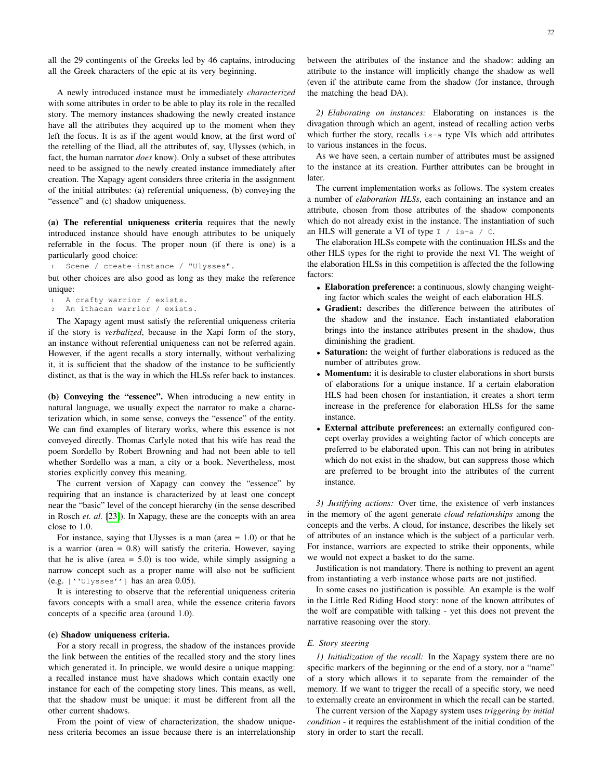all the 29 contingents of the Greeks led by 46 captains, introducing all the Greek characters of the epic at its very beginning.

A newly introduced instance must be immediately *characterized* with some attributes in order to be able to play its role in the recalled story. The memory instances shadowing the newly created instance have all the attributes they acquired up to the moment when they left the focus. It is as if the agent would know, at the first word of the retelling of the Iliad, all the attributes of, say, Ulysses (which, in fact, the human narrator *does* know). Only a subset of these attributes need to be assigned to the newly created instance immediately after creation. The Xapagy agent considers three criteria in the assignment of the initial attributes: (a) referential uniqueness, (b) conveying the "essence" and (c) shadow uniqueness.

(a) The referential uniqueness criteria requires that the newly introduced instance should have enough attributes to be uniquely referrable in the focus. The proper noun (if there is one) is a particularly good choice:

<sup>1</sup> Scene / create-instance / "Ulysses".

but other choices are also good as long as they make the reference unique:

```
1 A crafty warrior / exists.
An ithacan warrior / exists.
```
The Xapagy agent must satisfy the referential uniqueness criteria if the story is *verbalized*, because in the Xapi form of the story, an instance without referential uniqueness can not be referred again. However, if the agent recalls a story internally, without verbalizing it, it is sufficient that the shadow of the instance to be sufficiently distinct, as that is the way in which the HLSs refer back to instances.

(b) Conveying the "essence". When introducing a new entity in natural language, we usually expect the narrator to make a characterization which, in some sense, conveys the "essence" of the entity. We can find examples of literary works, where this essence is not conveyed directly. Thomas Carlyle noted that his wife has read the poem Sordello by Robert Browning and had not been able to tell whether Sordello was a man, a city or a book. Nevertheless, most stories explicitly convey this meaning.

The current version of Xapagy can convey the "essence" by requiring that an instance is characterized by at least one concept near the "basic" level of the concept hierarchy (in the sense described in Rosch *et. al.* [\[23\]](#page-26-5)). In Xapagy, these are the concepts with an area close to 1.0.

For instance, saying that Ulysses is a man (area  $= 1.0$ ) or that he is a warrior (area = 0.8) will satisfy the criteria. However, saying that he is alive (area  $= 5.0$ ) is too wide, while simply assigning a narrow concept such as a proper name will also not be sufficient (e.g. [''Ulysses''] has an area 0.05).

It is interesting to observe that the referential uniqueness criteria favors concepts with a small area, while the essence criteria favors concepts of a specific area (around 1.0).

## (c) Shadow uniqueness criteria.

For a story recall in progress, the shadow of the instances provide the link between the entities of the recalled story and the story lines which generated it. In principle, we would desire a unique mapping: a recalled instance must have shadows which contain exactly one instance for each of the competing story lines. This means, as well, that the shadow must be unique: it must be different from all the other current shadows.

From the point of view of characterization, the shadow uniqueness criteria becomes an issue because there is an interrelationship between the attributes of the instance and the shadow: adding an attribute to the instance will implicitly change the shadow as well (even if the attribute came from the shadow (for instance, through the matching the head DA).

<span id="page-21-0"></span>*2) Elaborating on instances:* Elaborating on instances is the divagation through which an agent, instead of recalling action verbs which further the story, recalls is-a type VIs which add attributes to various instances in the focus.

As we have seen, a certain number of attributes must be assigned to the instance at its creation. Further attributes can be brought in later.

The current implementation works as follows. The system creates a number of *elaboration HLSs*, each containing an instance and an attribute, chosen from those attributes of the shadow components which do not already exist in the instance. The instantiation of such an HLS will generate a VI of type  $I /$  is-a / C.

The elaboration HLSs compete with the continuation HLSs and the other HLS types for the right to provide the next VI. The weight of the elaboration HLSs in this competition is affected the the following factors:

- Elaboration preference: a continuous, slowly changing weighting factor which scales the weight of each elaboration HLS.
- Gradient: describes the difference between the attributes of the shadow and the instance. Each instantiated elaboration brings into the instance attributes present in the shadow, thus diminishing the gradient.
- Saturation: the weight of further elaborations is reduced as the number of attributes grow.
- Momentum: it is desirable to cluster elaborations in short bursts of elaborations for a unique instance. If a certain elaboration HLS had been chosen for instantiation, it creates a short term increase in the preference for elaboration HLSs for the same instance.
- External attribute preferences: an externally configured concept overlay provides a weighting factor of which concepts are preferred to be elaborated upon. This can not bring in atributes which do not exist in the shadow, but can suppress those which are preferred to be brought into the attributes of the current instance.

<span id="page-21-1"></span>*3) Justifying actions:* Over time, the existence of verb instances in the memory of the agent generate *cloud relationships* among the concepts and the verbs. A cloud, for instance, describes the likely set of attributes of an instance which is the subject of a particular verb. For instance, warriors are expected to strike their opponents, while we would not expect a basket to do the same.

Justification is not mandatory. There is nothing to prevent an agent from instantiating a verb instance whose parts are not justified.

In some cases no justification is possible. An example is the wolf in the Little Red Riding Hood story: none of the known attributes of the wolf are compatible with talking - yet this does not prevent the narrative reasoning over the story.

#### <span id="page-21-2"></span>*E. Story steering*

<span id="page-21-3"></span>*1) Initialization of the recall:* In the Xapagy system there are no specific markers of the beginning or the end of a story, nor a "name" of a story which allows it to separate from the remainder of the memory. If we want to trigger the recall of a specific story, we need to externally create an environment in which the recall can be started.

The current version of the Xapagy system uses *triggering by initial condition* - it requires the establishment of the initial condition of the story in order to start the recall.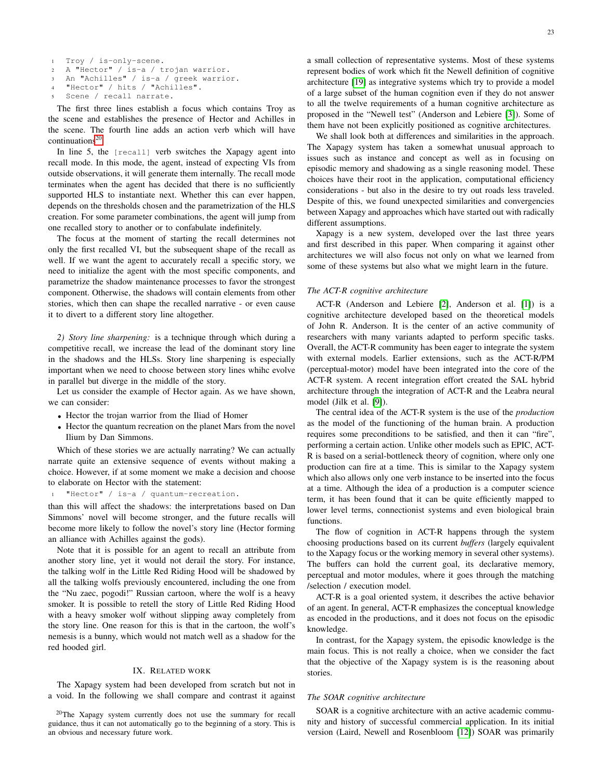- <sup>1</sup> Troy / is-only-scene.
- <sup>2</sup> A "Hector" / is-a / trojan warrior.
- <sup>3</sup> An "Achilles" / is-a / greek warrior. "Hector" / hits / "Achilles".
- 
- <sup>5</sup> Scene / recall narrate.

The first three lines establish a focus which contains Troy as the scene and establishes the presence of Hector and Achilles in the scene. The fourth line adds an action verb which will have continuations $^{20}$  $^{20}$  $^{20}$ 

In line 5, the [recall] verb switches the Xapagy agent into recall mode. In this mode, the agent, instead of expecting VIs from outside observations, it will generate them internally. The recall mode terminates when the agent has decided that there is no sufficiently supported HLS to instantiate next. Whether this can ever happen, depends on the thresholds chosen and the parametrization of the HLS creation. For some parameter combinations, the agent will jump from one recalled story to another or to confabulate indefinitely.

The focus at the moment of starting the recall determines not only the first recalled VI, but the subsequent shape of the recall as well. If we want the agent to accurately recall a specific story, we need to initialize the agent with the most specific components, and parametrize the shadow maintenance processes to favor the strongest component. Otherwise, the shadows will contain elements from other stories, which then can shape the recalled narrative - or even cause it to divert to a different story line altogether.

<span id="page-22-0"></span>*2) Story line sharpening:* is a technique through which during a competitive recall, we increase the lead of the dominant story line in the shadows and the HLSs. Story line sharpening is especially important when we need to choose between story lines whihc evolve in parallel but diverge in the middle of the story.

Let us consider the example of Hector again. As we have shown, we can consider:

- Hector the trojan warrior from the Iliad of Homer
- Hector the quantum recreation on the planet Mars from the novel Ilium by Dan Simmons.

Which of these stories we are actually narrating? We can actually narrate quite an extensive sequence of events without making a choice. However, if at some moment we make a decision and choose to elaborate on Hector with the statement:

"Hector" / is-a / quantum-recreation.

than this will affect the shadows: the interpretations based on Dan Simmons' novel will become stronger, and the future recalls will become more likely to follow the novel's story line (Hector forming an alliance with Achilles against the gods).

Note that it is possible for an agent to recall an attribute from another story line, yet it would not derail the story. For instance, the talking wolf in the Little Red Riding Hood will be shadowed by all the talking wolfs previously encountered, including the one from the "Nu zaec, pogodi!" Russian cartoon, where the wolf is a heavy smoker. It is possible to retell the story of Little Red Riding Hood with a heavy smoker wolf without slipping away completely from the story line. One reason for this is that in the cartoon, the wolf's nemesis is a bunny, which would not match well as a shadow for the red hooded girl.

## IX. RELATED WORK

<span id="page-22-1"></span>The Xapagy system had been developed from scratch but not in a void. In the following we shall compare and contrast it against

<span id="page-22-2"></span><sup>20</sup>The Xapagy system currently does not use the summary for recall guidance, thus it can not automatically go to the beginning of a story. This is an obvious and necessary future work.

a small collection of representative systems. Most of these systems represent bodies of work which fit the Newell definition of cognitive architecture [\[19\]](#page-26-9) as integrative systems which try to provide a model of a large subset of the human cognition even if they do not answer to all the twelve requirements of a human cognitive architecture as proposed in the "Newell test" (Anderson and Lebiere [\[3\]](#page-25-10)). Some of them have not been explicitly positioned as cognitive architectures.

We shall look both at differences and similarities in the approach. The Xapagy system has taken a somewhat unusual approach to issues such as instance and concept as well as in focusing on episodic memory and shadowing as a single reasoning model. These choices have their root in the application, computational efficiency considerations - but also in the desire to try out roads less traveled. Despite of this, we found unexpected similarities and convergencies between Xapagy and approaches which have started out with radically different assumptions.

Xapagy is a new system, developed over the last three years and first described in this paper. When comparing it against other architectures we will also focus not only on what we learned from some of these systems but also what we might learn in the future.

## *The ACT-R cognitive architecture*

ACT-R (Anderson and Lebiere [\[2\]](#page-25-11), Anderson et al. [\[1\]](#page-25-12)) is a cognitive architecture developed based on the theoretical models of John R. Anderson. It is the center of an active community of researchers with many variants adapted to perform specific tasks. Overall, the ACT-R community has been eager to integrate the system with external models. Earlier extensions, such as the ACT-R/PM (perceptual-motor) model have been integrated into the core of the ACT-R system. A recent integration effort created the SAL hybrid architecture through the integration of ACT-R and the Leabra neural model (Jilk et al. [\[9\]](#page-25-13)).

The central idea of the ACT-R system is the use of the *production* as the model of the functioning of the human brain. A production requires some preconditions to be satisfied, and then it can "fire", performing a certain action. Unlike other models such as EPIC, ACT-R is based on a serial-bottleneck theory of cognition, where only one production can fire at a time. This is similar to the Xapagy system which also allows only one verb instance to be inserted into the focus at a time. Although the idea of a production is a computer science term, it has been found that it can be quite efficiently mapped to lower level terms, connectionist systems and even biological brain functions.

The flow of cognition in ACT-R happens through the system choosing productions based on its current *buffers* (largely equivalent to the Xapagy focus or the working memory in several other systems). The buffers can hold the current goal, its declarative memory, perceptual and motor modules, where it goes through the matching /selection / execution model.

ACT-R is a goal oriented system, it describes the active behavior of an agent. In general, ACT-R emphasizes the conceptual knowledge as encoded in the productions, and it does not focus on the episodic knowledge.

In contrast, for the Xapagy system, the episodic knowledge is the main focus. This is not really a choice, when we consider the fact that the objective of the Xapagy system is is the reasoning about stories.

# *The SOAR cognitive architecture*

SOAR is a cognitive architecture with an active academic community and history of successful commercial application. In its initial version (Laird, Newell and Rosenbloom [\[12\]](#page-26-10)) SOAR was primarily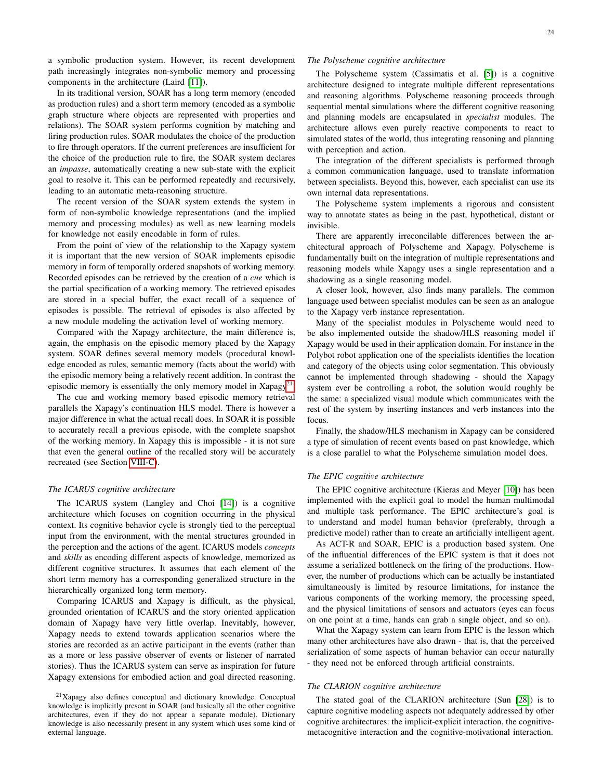a symbolic production system. However, its recent development path increasingly integrates non-symbolic memory and processing components in the architecture (Laird [\[11\]](#page-26-11)).

In its traditional version, SOAR has a long term memory (encoded as production rules) and a short term memory (encoded as a symbolic graph structure where objects are represented with properties and relations). The SOAR system performs cognition by matching and firing production rules. SOAR modulates the choice of the production to fire through operators. If the current preferences are insufficient for the choice of the production rule to fire, the SOAR system declares an *impasse*, automatically creating a new sub-state with the explicit goal to resolve it. This can be performed repeatedly and recursively, leading to an automatic meta-reasoning structure.

The recent version of the SOAR system extends the system in form of non-symbolic knowledge representations (and the implied memory and processing modules) as well as new learning models for knowledge not easily encodable in form of rules.

From the point of view of the relationship to the Xapagy system it is important that the new version of SOAR implements episodic memory in form of temporally ordered snapshots of working memory. Recorded episodes can be retrieved by the creation of a *cue* which is the partial specification of a working memory. The retrieved episodes are stored in a special buffer, the exact recall of a sequence of episodes is possible. The retrieval of episodes is also affected by a new module modeling the activation level of working memory.

Compared with the Xapagy architecture, the main difference is, again, the emphasis on the episodic memory placed by the Xapagy system. SOAR defines several memory models (procedural knowledge encoded as rules, semantic memory (facts about the world) with the episodic memory being a relatively recent addition. In contrast the episodic memory is essentially the only memory model in  $Xapagy<sup>21</sup>$  $Xapagy<sup>21</sup>$  $Xapagy<sup>21</sup>$ .

The cue and working memory based episodic memory retrieval parallels the Xapagy's continuation HLS model. There is however a major difference in what the actual recall does. In SOAR it is possible to accurately recall a previous episode, with the complete snapshot of the working memory. In Xapagy this is impossible - it is not sure that even the general outline of the recalled story will be accurately recreated (see Section [VIII-C\)](#page-15-1).

## *The ICARUS cognitive architecture*

The ICARUS system (Langley and Choi [\[14\]](#page-26-12)) is a cognitive architecture which focuses on cognition occurring in the physical context. Its cognitive behavior cycle is strongly tied to the perceptual input from the environment, with the mental structures grounded in the perception and the actions of the agent. ICARUS models *concepts* and *skills* as encoding different aspects of knowledge, memorized as different cognitive structures. It assumes that each element of the short term memory has a corresponding generalized structure in the hierarchically organized long term memory.

Comparing ICARUS and Xapagy is difficult, as the physical, grounded orientation of ICARUS and the story oriented application domain of Xapagy have very little overlap. Inevitably, however, Xapagy needs to extend towards application scenarios where the stories are recorded as an active participant in the events (rather than as a more or less passive observer of events or listener of narrated stories). Thus the ICARUS system can serve as inspiration for future Xapagy extensions for embodied action and goal directed reasoning.

## *The Polyscheme cognitive architecture*

The Polyscheme system (Cassimatis et al. [\[5\]](#page-25-14)) is a cognitive architecture designed to integrate multiple different representations and reasoning algorithms. Polyscheme reasoning proceeds through sequential mental simulations where the different cognitive reasoning and planning models are encapsulated in *specialist* modules. The architecture allows even purely reactive components to react to simulated states of the world, thus integrating reasoning and planning with perception and action.

The integration of the different specialists is performed through a common communication language, used to translate information between specialists. Beyond this, however, each specialist can use its own internal data representations.

The Polyscheme system implements a rigorous and consistent way to annotate states as being in the past, hypothetical, distant or invisible.

There are apparently irreconcilable differences between the architectural approach of Polyscheme and Xapagy. Polyscheme is fundamentally built on the integration of multiple representations and reasoning models while Xapagy uses a single representation and a shadowing as a single reasoning model.

A closer look, however, also finds many parallels. The common language used between specialist modules can be seen as an analogue to the Xapagy verb instance representation.

Many of the specialist modules in Polyscheme would need to be also implemented outside the shadow/HLS reasoning model if Xapagy would be used in their application domain. For instance in the Polybot robot application one of the specialists identifies the location and category of the objects using color segmentation. This obviously cannot be implemented through shadowing - should the Xapagy system ever be controlling a robot, the solution would roughly be the same: a specialized visual module which communicates with the rest of the system by inserting instances and verb instances into the focus.

Finally, the shadow/HLS mechanism in Xapagy can be considered a type of simulation of recent events based on past knowledge, which is a close parallel to what the Polyscheme simulation model does.

## *The EPIC cognitive architecture*

The EPIC cognitive architecture (Kieras and Meyer [\[10\]](#page-25-15)) has been implemented with the explicit goal to model the human multimodal and multiple task performance. The EPIC architecture's goal is to understand and model human behavior (preferably, through a predictive model) rather than to create an artificially intelligent agent.

As ACT-R and SOAR, EPIC is a production based system. One of the influential differences of the EPIC system is that it does not assume a serialized bottleneck on the firing of the productions. However, the number of productions which can be actually be instantiated simultaneously is limited by resource limitations, for instance the various components of the working memory, the processing speed, and the physical limitations of sensors and actuators (eyes can focus on one point at a time, hands can grab a single object, and so on).

What the Xapagy system can learn from EPIC is the lesson which many other architectures have also drawn - that is, that the perceived serialization of some aspects of human behavior can occur naturally - they need not be enforced through artificial constraints.

## *The CLARION cognitive architecture*

The stated goal of the CLARION architecture (Sun [\[28\]](#page-26-13)) is to capture cognitive modeling aspects not adequately addressed by other cognitive architectures: the implicit-explicit interaction, the cognitivemetacognitive interaction and the cognitive-motivational interaction.

<span id="page-23-0"></span><sup>21</sup>Xapagy also defines conceptual and dictionary knowledge. Conceptual knowledge is implicitly present in SOAR (and basically all the other cognitive architectures, even if they do not appear a separate module). Dictionary knowledge is also necessarily present in any system which uses some kind of external language.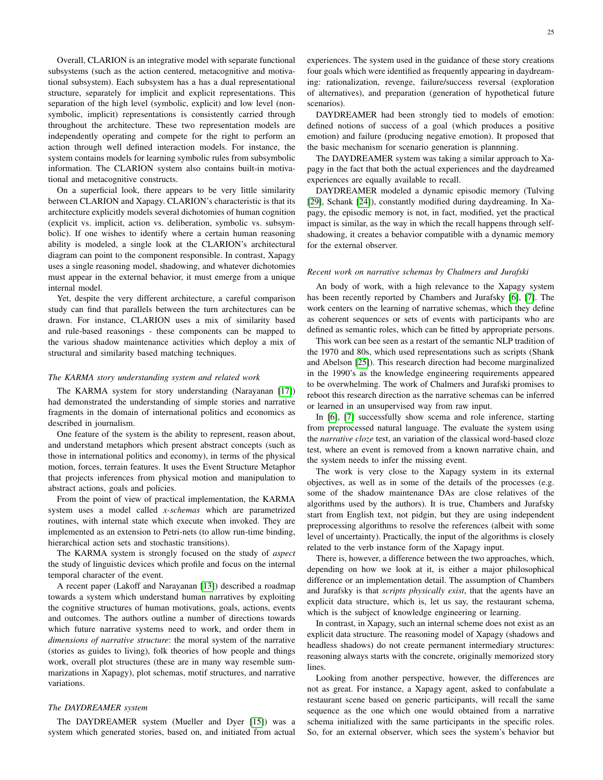Overall, CLARION is an integrative model with separate functional subsystems (such as the action centered, metacognitive and motivational subsystem). Each subsystem has a has a dual representational structure, separately for implicit and explicit representations. This separation of the high level (symbolic, explicit) and low level (nonsymbolic, implicit) representations is consistently carried through throughout the architecture. These two representation models are independently operating and compete for the right to perform an action through well defined interaction models. For instance, the system contains models for learning symbolic rules from subsymbolic information. The CLARION system also contains built-in motivational and metacognitive constructs.

On a superficial look, there appears to be very little similarity between CLARION and Xapagy. CLARION's characteristic is that its architecture explicitly models several dichotomies of human cognition (explicit vs. implicit, action vs. deliberation, symbolic vs. subsymbolic). If one wishes to identify where a certain human reasoning ability is modeled, a single look at the CLARION's architectural diagram can point to the component responsible. In contrast, Xapagy uses a single reasoning model, shadowing, and whatever dichotomies must appear in the external behavior, it must emerge from a unique internal model.

Yet, despite the very different architecture, a careful comparison study can find that parallels between the turn architectures can be drawn. For instance, CLARION uses a mix of similarity based and rule-based reasonings - these components can be mapped to the various shadow maintenance activities which deploy a mix of structural and similarity based matching techniques.

#### *The KARMA story understanding system and related work*

The KARMA system for story understanding (Narayanan [\[17\]](#page-26-14)) had demonstrated the understanding of simple stories and narrative fragments in the domain of international politics and economics as described in journalism.

One feature of the system is the ability to represent, reason about, and understand metaphors which present abstract concepts (such as those in international politics and economy), in terms of the physical motion, forces, terrain features. It uses the Event Structure Metaphor that projects inferences from physical motion and manipulation to abstract actions, goals and policies.

From the point of view of practical implementation, the KARMA system uses a model called *x-schemas* which are parametrized routines, with internal state which execute when invoked. They are implemented as an extension to Petri-nets (to allow run-time binding, hierarchical action sets and stochastic transitions).

The KARMA system is strongly focused on the study of *aspect* the study of linguistic devices which profile and focus on the internal temporal character of the event.

A recent paper (Lakoff and Narayanan [\[13\]](#page-26-15)) described a roadmap towards a system which understand human narratives by exploiting the cognitive structures of human motivations, goals, actions, events and outcomes. The authors outline a number of directions towards which future narrative systems need to work, and order them in *dimensions of narrative structure*: the moral system of the narrative (stories as guides to living), folk theories of how people and things work, overall plot structures (these are in many way resemble summarizations in Xapagy), plot schemas, motif structures, and narrative variations.

## *The DAYDREAMER system*

The DAYDREAMER system (Mueller and Dyer [\[15\]](#page-26-16)) was a system which generated stories, based on, and initiated from actual experiences. The system used in the guidance of these story creations four goals which were identified as frequently appearing in daydreaming: rationalization, revenge, failure/success reversal (exploration of alternatives), and preparation (generation of hypothetical future scenarios).

DAYDREAMER had been strongly tied to models of emotion: defined notions of success of a goal (which produces a positive emotion) and failure (producing negative emotion). It proposed that the basic mechanism for scenario generation is plannning.

The DAYDREAMER system was taking a similar approach to Xapagy in the fact that both the actual experiences and the daydreamed experiences are equally available to recall.

DAYDREAMER modeled a dynamic episodic memory (Tulving [\[29\]](#page-26-17), Schank [\[24\]](#page-26-18)), constantly modified during daydreaming. In Xapagy, the episodic memory is not, in fact, modified, yet the practical impact is similar, as the way in which the recall happens through selfshadowing, it creates a behavior compatible with a dynamic memory for the external observer.

## *Recent work on narrative schemas by Chalmers and Jurafski*

An body of work, with a high relevance to the Xapagy system has been recently reported by Chambers and Jurafsky [\[6\]](#page-25-16), [\[7\]](#page-25-17). The work centers on the learning of narrative schemas, which they define as coherent sequences or sets of events with participants who are defined as semantic roles, which can be fitted by appropriate persons.

This work can bee seen as a restart of the semantic NLP tradition of the 1970 and 80s, which used representations such as scripts (Shank and Abelson [\[25\]](#page-26-19)). This research direction had become marginalized in the 1990's as the knowledge engineering requirements appeared to be overwhelming. The work of Chalmers and Jurafski promises to reboot this research direction as the narrative schemas can be inferred or learned in an unsupervised way from raw input.

In [\[6\]](#page-25-16), [\[7\]](#page-25-17) successfully show scema and role inference, starting from preprocessed natural language. The evaluate the system using the *narrative cloze* test, an variation of the classical word-based cloze test, where an event is removed from a known narrative chain, and the system needs to infer the missing event.

The work is very close to the Xapagy system in its external objectives, as well as in some of the details of the processes (e.g. some of the shadow maintenance DAs are close relatives of the algorithms used by the authors). It is true, Chambers and Jurafsky start from English text, not pidgin, but they are using independent preprocessing algorithms to resolve the references (albeit with some level of uncertainty). Practically, the input of the algorithms is closely related to the verb instance form of the Xapagy input.

There is, however, a difference between the two approaches, which, depending on how we look at it, is either a major philosophical difference or an implementation detail. The assumption of Chambers and Jurafsky is that *scripts physically exist*, that the agents have an explicit data structure, which is, let us say, the restaurant schema, which is the subject of knowledge engineering or learning.

In contrast, in Xapagy, such an internal scheme does not exist as an explicit data structure. The reasoning model of Xapagy (shadows and headless shadows) do not create permanent intermediary structures: reasoning always starts with the concrete, originally memorized story lines.

Looking from another perspective, however, the differences are not as great. For instance, a Xapagy agent, asked to confabulate a restaurant scene based on generic participants, will recall the same sequence as the one which one would obtained from a narrative schema initialized with the same participants in the specific roles. So, for an external observer, which sees the system's behavior but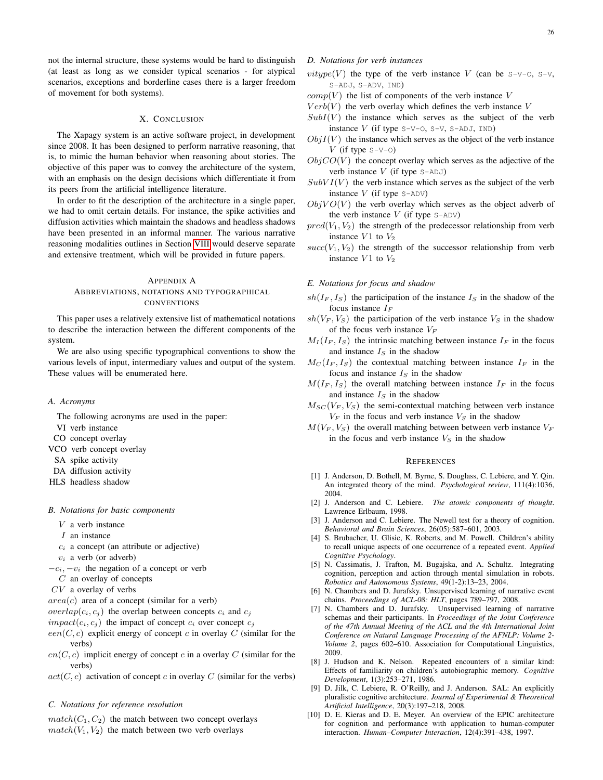#### X. CONCLUSION

<span id="page-25-0"></span>The Xapagy system is an active software project, in development since 2008. It has been designed to perform narrative reasoning, that is, to mimic the human behavior when reasoning about stories. The objective of this paper was to convey the architecture of the system, with an emphasis on the design decisions which differentiate it from its peers from the artificial intelligence literature.

In order to fit the description of the architecture in a single paper, we had to omit certain details. For instance, the spike activities and diffusion activities which maintain the shadows and headless shadows have been presented in an informal manner. The various narrative reasoning modalities outlines in Section [VIII](#page-14-3) would deserve separate and extensive treatment, which will be provided in future papers.

## <span id="page-25-1"></span>APPENDIX A

# ABBREVIATIONS, NOTATIONS AND TYPOGRAPHICAL **CONVENTIONS**

This paper uses a relatively extensive list of mathematical notations to describe the interaction between the different components of the system.

We are also using specific typographical conventions to show the various levels of input, intermediary values and output of the system. These values will be enumerated here.

## <span id="page-25-2"></span>*A. Acronyms*

The following acronyms are used in the paper:

- VI verb instance
- CO concept overlay
- VCO verb concept overlay
- SA spike activity
- DA diffusion activity
- HLS headless shadow

## <span id="page-25-3"></span>*B. Notations for basic components*

- $V$  a verb instance
- I an instance
- $c_i$  a concept (an attribute or adjective)
- $v_i$  a verb (or adverb)
- $-c_i$ ,  $-v_i$  the negation of a concept or verb
- C an overlay of concepts
- CV a overlay of verbs
- $area(c)$  area of a concept (similar for a verb)
- $overlap(c_i, c_j)$  the overlap between concepts  $c_i$  and  $c_j$
- $impact(c_i, c_j)$  the impact of concept  $c_i$  over concept  $c_j$
- $een(C, c)$  explicit energy of concept c in overlay C (similar for the verbs)
- $en(C, c)$  implicit energy of concept c in a overlay C (similar for the verbs)
- $act(C, c)$  activation of concept c in overlay C (similar for the verbs)

## <span id="page-25-4"></span>*C. Notations for reference resolution*

 $match(C_1, C_2)$  the match between two concept overlays  $match(V_1, V_2)$  the match between two verb overlays

- <span id="page-25-5"></span>*D. Notations for verb instances*
- *vitype*(V) the type of the verb instance V (can be  $S-V-O$ ,  $S-V$ , S-ADJ, S-ADV, IND)
- $comp(V)$  the list of components of the verb instance V
- $Verb(V)$  the verb overlay which defines the verb instance V
- $SubI(V)$  the instance which serves as the subject of the verb instance  $V$  (if type  $S-V-O$ ,  $S-V$ ,  $S-ADJ$ ,  $IND)$
- $ObjI(V)$  the instance which serves as the object of the verb instance V (if type  $S-V-0$ )
- $ObjCO(V)$  the concept overlay which serves as the adjective of the verb instance  $V$  (if type  $S - ADJ$ )
- $SubVI(V)$  the verb instance which serves as the subject of the verb instance  $V$  (if type  $S-ADV$ )
- $ObjVO(V)$  the verb overlay which serves as the object adverb of the verb instance  $V$  (if type  $S-ADV$ )
- $pred(V_1, V_2)$  the strength of the predecessor relationship from verb instance  $V1$  to  $V_2$
- $succ(V_1, V_2)$  the strength of the successor relationship from verb instance  $V1$  to  $V_2$

#### <span id="page-25-6"></span>*E. Notations for focus and shadow*

- $sh(I_F, I_S)$  the participation of the instance  $I_S$  in the shadow of the focus instance  $I_F$
- $sh(V_F, V_S)$  the participation of the verb instance  $V_S$  in the shadow of the focus verb instance  $V_F$
- $M_I(I_F, I_S)$  the intrinsic matching between instance  $I_F$  in the focus and instance  $I_S$  in the shadow
- $M_C(I_F, I_S)$  the contextual matching between instance  $I_F$  in the focus and instance  $I<sub>S</sub>$  in the shadow
- $M(I<sub>F</sub>, I<sub>S</sub>)$  the overall matching between instance  $I<sub>F</sub>$  in the focus and instance  $I<sub>S</sub>$  in the shadow
- $M_{SC}(V_F, V_S)$  the semi-contextual matching between verb instance  $V_F$  in the focus and verb instance  $V_S$  in the shadow
- $M(V<sub>F</sub>, V<sub>S</sub>)$  the overall matching between between verb instance  $V<sub>F</sub>$ in the focus and verb instance  $V<sub>S</sub>$  in the shadow

#### <span id="page-25-7"></span>**REFERENCES**

- <span id="page-25-12"></span>[1] J. Anderson, D. Bothell, M. Byrne, S. Douglass, C. Lebiere, and Y. Qin. An integrated theory of the mind. *Psychological review*, 111(4):1036, 2004.
- <span id="page-25-11"></span>[2] J. Anderson and C. Lebiere. *The atomic components of thought*. Lawrence Erlbaum, 1998.
- <span id="page-25-10"></span>[3] J. Anderson and C. Lebiere. The Newell test for a theory of cognition. *Behavioral and Brain Sciences*, 26(05):587–601, 2003.
- <span id="page-25-9"></span>[4] S. Brubacher, U. Glisic, K. Roberts, and M. Powell. Children's ability to recall unique aspects of one occurrence of a repeated event. *Applied Cognitive Psychology*.
- <span id="page-25-14"></span>[5] N. Cassimatis, J. Trafton, M. Bugajska, and A. Schultz. Integrating cognition, perception and action through mental simulation in robots. *Robotics and Autonomous Systems*, 49(1-2):13–23, 2004.
- <span id="page-25-16"></span>[6] N. Chambers and D. Jurafsky. Unsupervised learning of narrative event chains. *Proceedings of ACL-08: HLT*, pages 789–797, 2008.
- <span id="page-25-17"></span>[7] N. Chambers and D. Jurafsky. Unsupervised learning of narrative schemas and their participants. In *Proceedings of the Joint Conference of the 47th Annual Meeting of the ACL and the 4th International Joint Conference on Natural Language Processing of the AFNLP: Volume 2- Volume 2*, pages 602–610. Association for Computational Linguistics, 2009.
- <span id="page-25-8"></span>[8] J. Hudson and K. Nelson. Repeated encounters of a similar kind: Effects of familiarity on children's autobiographic memory. *Cognitive Development*, 1(3):253–271, 1986.
- <span id="page-25-13"></span>[9] D. Jilk, C. Lebiere, R. O'Reilly, and J. Anderson. SAL: An explicitly pluralistic cognitive architecture. *Journal of Experimental & Theoretical Artificial Intelligence*, 20(3):197–218, 2008.
- <span id="page-25-15"></span>[10] D. E. Kieras and D. E. Meyer. An overview of the EPIC architecture for cognition and performance with application to human-computer interaction. *Human–Computer Interaction*, 12(4):391–438, 1997.